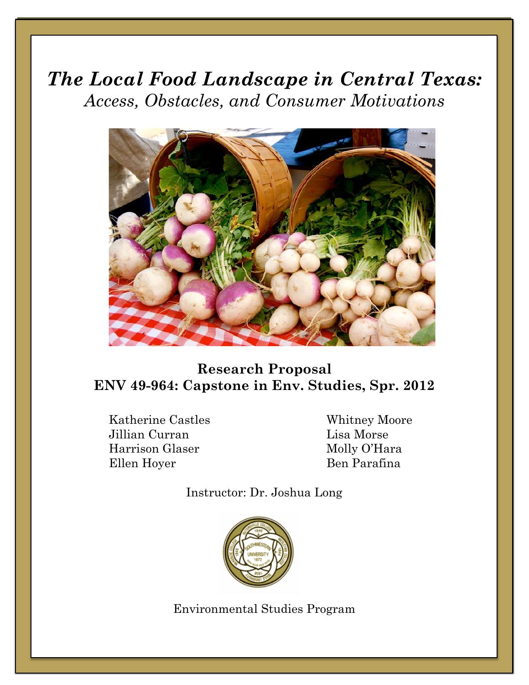# *The Local Food Landscape in Central Texas: Access, Obstacles, and Consumer Motivations*



# **Research Proposal ENV 49-964: Capstone in Env. Studies, Spr. 2012**

Katherine Castles Whitney Moore Jillian Curran Lisa Morse Harrison Glaser Molly O'Hara Ellen Hoyer Ben Parafina

Instructor: Dr. Joshua Long



Environmental Studies Program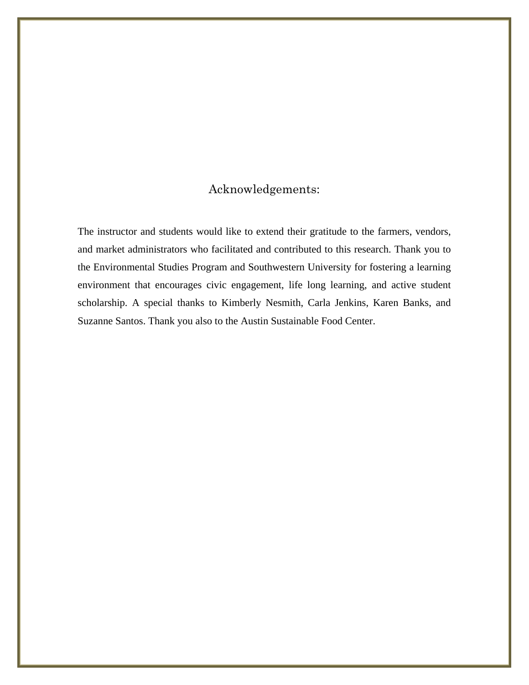## Acknowledgements:

The instructor and students would like to extend their gratitude to the farmers, vendors, and market administrators who facilitated and contributed to this research. Thank you to the Environmental Studies Program and Southwestern University for fostering a learning environment that encourages civic engagement, life long learning, and active student scholarship. A special thanks to Kimberly Nesmith, Carla Jenkins, Karen Banks, and Suzanne Santos. Thank you also to the Austin Sustainable Food Center.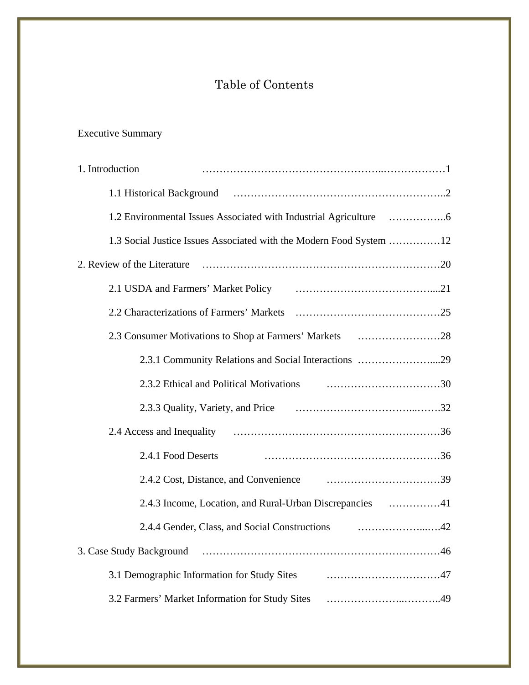# Table of Contents

# Executive Summary

| 1. Introduction                                                     |
|---------------------------------------------------------------------|
|                                                                     |
|                                                                     |
| 1.3 Social Justice Issues Associated with the Modern Food System 12 |
| 2. Review of the Literature                                         |
|                                                                     |
|                                                                     |
|                                                                     |
| 2.3.1 Community Relations and Social Interactions 29                |
|                                                                     |
|                                                                     |
|                                                                     |
| 2.4.1 Food Deserts                                                  |
|                                                                     |
|                                                                     |
|                                                                     |
|                                                                     |
|                                                                     |
|                                                                     |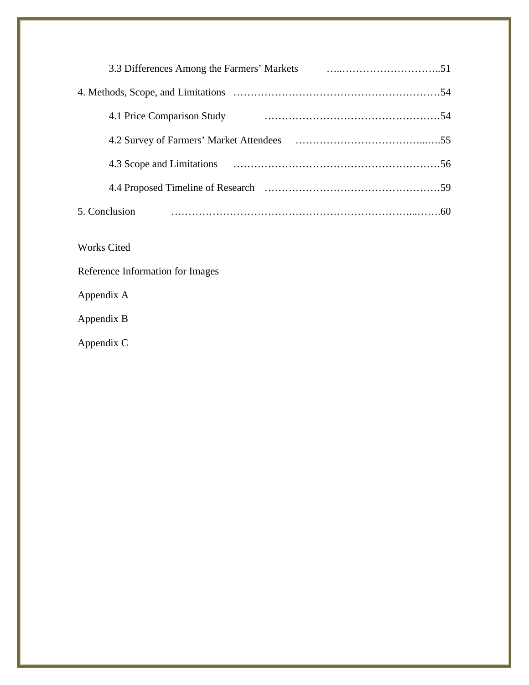| 4.1 Price Comparison Study |  |
|----------------------------|--|
|                            |  |
|                            |  |
|                            |  |
| 5. Conclusion              |  |
|                            |  |

- Works Cited
- Reference Information for Images

Appendix A

Appendix B

Appendix C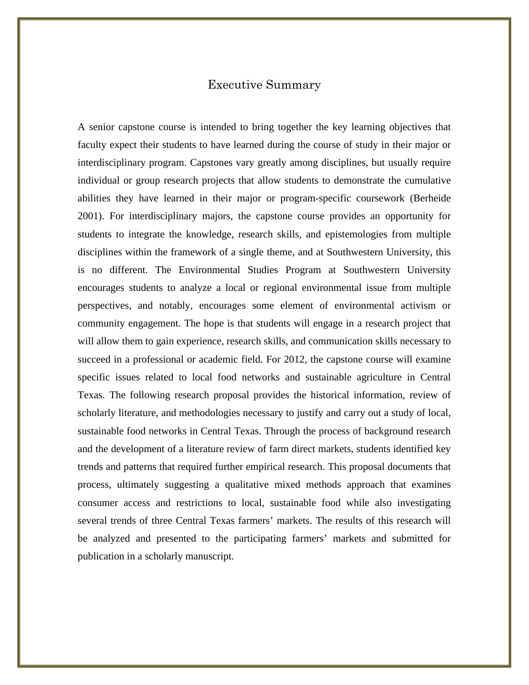### Executive Summary

A senior capstone course is intended to bring together the key learning objectives that faculty expect their students to have learned during the course of study in their major or interdisciplinary program. Capstones vary greatly among disciplines, but usually require individual or group research projects that allow students to demonstrate the cumulative abilities they have learned in their major or program-specific coursework (Berheide 2001). For interdisciplinary majors, the capstone course provides an opportunity for students to integrate the knowledge, research skills, and epistemologies from multiple disciplines within the framework of a single theme, and at Southwestern University, this is no different. The Environmental Studies Program at Southwestern University encourages students to analyze a local or regional environmental issue from multiple perspectives, and notably, encourages some element of environmental activism or community engagement. The hope is that students will engage in a research project that will allow them to gain experience, research skills, and communication skills necessary to succeed in a professional or academic field. For 2012, the capstone course will examine specific issues related to local food networks and sustainable agriculture in Central Texas. The following research proposal provides the historical information, review of scholarly literature, and methodologies necessary to justify and carry out a study of local, sustainable food networks in Central Texas. Through the process of background research and the development of a literature review of farm direct markets, students identified key trends and patterns that required further empirical research. This proposal documents that process, ultimately suggesting a qualitative mixed methods approach that examines consumer access and restrictions to local, sustainable food while also investigating several trends of three Central Texas farmers' markets. The results of this research will be analyzed and presented to the participating farmers' markets and submitted for publication in a scholarly manuscript.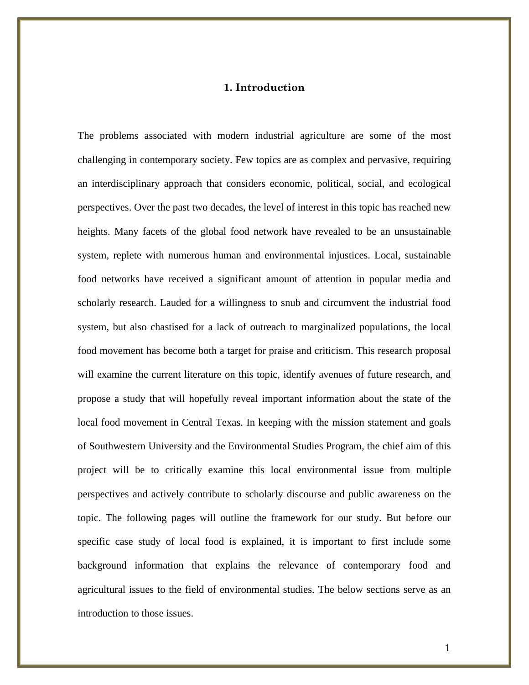### **1. Introduction**

The problems associated with modern industrial agriculture are some of the most challenging in contemporary society. Few topics are as complex and pervasive, requiring an interdisciplinary approach that considers economic, political, social, and ecological perspectives. Over the past two decades, the level of interest in this topic has reached new heights. Many facets of the global food network have revealed to be an unsustainable system, replete with numerous human and environmental injustices. Local, sustainable food networks have received a significant amount of attention in popular media and scholarly research. Lauded for a willingness to snub and circumvent the industrial food system, but also chastised for a lack of outreach to marginalized populations, the local food movement has become both a target for praise and criticism. This research proposal will examine the current literature on this topic, identify avenues of future research, and propose a study that will hopefully reveal important information about the state of the local food movement in Central Texas. In keeping with the mission statement and goals of Southwestern University and the Environmental Studies Program, the chief aim of this project will be to critically examine this local environmental issue from multiple perspectives and actively contribute to scholarly discourse and public awareness on the topic. The following pages will outline the framework for our study. But before our specific case study of local food is explained, it is important to first include some background information that explains the relevance of contemporary food and agricultural issues to the field of environmental studies. The below sections serve as an introduction to those issues.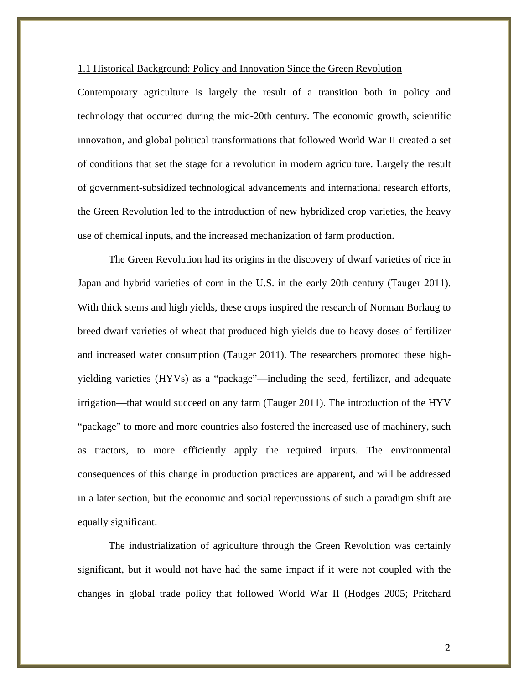#### 1.1 Historical Background: Policy and Innovation Since the Green Revolution

Contemporary agriculture is largely the result of a transition both in policy and technology that occurred during the mid-20th century. The economic growth, scientific innovation, and global political transformations that followed World War II created a set of conditions that set the stage for a revolution in modern agriculture. Largely the result of government-subsidized technological advancements and international research efforts, the Green Revolution led to the introduction of new hybridized crop varieties, the heavy use of chemical inputs, and the increased mechanization of farm production.

The Green Revolution had its origins in the discovery of dwarf varieties of rice in Japan and hybrid varieties of corn in the U.S. in the early 20th century (Tauger 2011). With thick stems and high yields, these crops inspired the research of Norman Borlaug to breed dwarf varieties of wheat that produced high yields due to heavy doses of fertilizer and increased water consumption (Tauger 2011). The researchers promoted these highyielding varieties (HYVs) as a "package"—including the seed, fertilizer, and adequate irrigation—that would succeed on any farm (Tauger 2011). The introduction of the HYV "package" to more and more countries also fostered the increased use of machinery, such as tractors, to more efficiently apply the required inputs. The environmental consequences of this change in production practices are apparent, and will be addressed in a later section, but the economic and social repercussions of such a paradigm shift are equally significant.

The industrialization of agriculture through the Green Revolution was certainly significant, but it would not have had the same impact if it were not coupled with the changes in global trade policy that followed World War II (Hodges 2005; Pritchard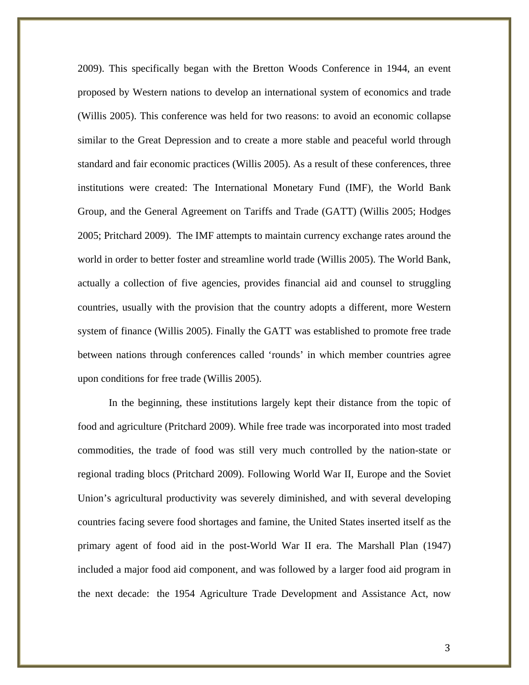2009). This specifically began with the Bretton Woods Conference in 1944, an event proposed by Western nations to develop an international system of economics and trade (Willis 2005). This conference was held for two reasons: to avoid an economic collapse similar to the Great Depression and to create a more stable and peaceful world through standard and fair economic practices (Willis 2005). As a result of these conferences, three institutions were created: The International Monetary Fund (IMF), the World Bank Group, and the General Agreement on Tariffs and Trade (GATT) (Willis 2005; Hodges 2005; Pritchard 2009). The IMF attempts to maintain currency exchange rates around the world in order to better foster and streamline world trade (Willis 2005). The World Bank, actually a collection of five agencies, provides financial aid and counsel to struggling countries, usually with the provision that the country adopts a different, more Western system of finance (Willis 2005). Finally the GATT was established to promote free trade between nations through conferences called 'rounds' in which member countries agree upon conditions for free trade (Willis 2005).

In the beginning, these institutions largely kept their distance from the topic of food and agriculture (Pritchard 2009). While free trade was incorporated into most traded commodities, the trade of food was still very much controlled by the nation-state or regional trading blocs (Pritchard 2009). Following World War II, Europe and the Soviet Union's agricultural productivity was severely diminished, and with several developing countries facing severe food shortages and famine, the United States inserted itself as the primary agent of food aid in the post-World War II era. The Marshall Plan (1947) included a major food aid component, and was followed by a larger food aid program in the next decade: the 1954 Agriculture Trade Development and Assistance Act, now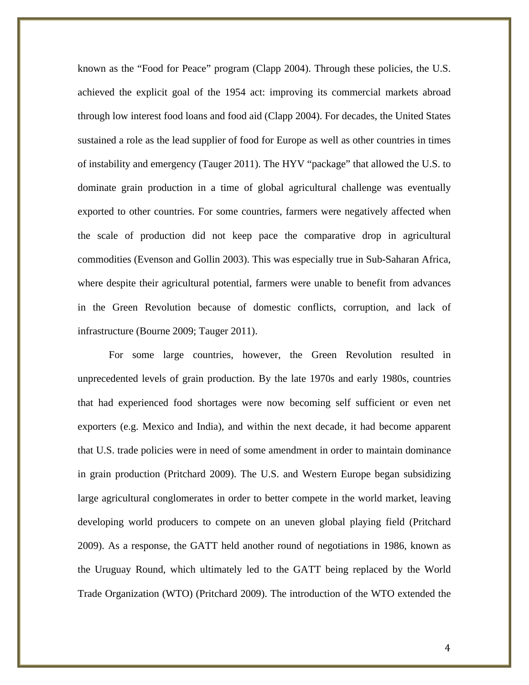known as the "Food for Peace" program (Clapp 2004). Through these policies, the U.S. achieved the explicit goal of the 1954 act: improving its commercial markets abroad through low interest food loans and food aid (Clapp 2004). For decades, the United States sustained a role as the lead supplier of food for Europe as well as other countries in times of instability and emergency (Tauger 2011). The HYV "package" that allowed the U.S. to dominate grain production in a time of global agricultural challenge was eventually exported to other countries. For some countries, farmers were negatively affected when the scale of production did not keep pace the comparative drop in agricultural commodities (Evenson and Gollin 2003). This was especially true in Sub-Saharan Africa, where despite their agricultural potential, farmers were unable to benefit from advances in the Green Revolution because of domestic conflicts, corruption, and lack of infrastructure (Bourne 2009; Tauger 2011).

For some large countries, however, the Green Revolution resulted in unprecedented levels of grain production. By the late 1970s and early 1980s, countries that had experienced food shortages were now becoming self sufficient or even net exporters (e.g. Mexico and India), and within the next decade, it had become apparent that U.S. trade policies were in need of some amendment in order to maintain dominance in grain production (Pritchard 2009). The U.S. and Western Europe began subsidizing large agricultural conglomerates in order to better compete in the world market, leaving developing world producers to compete on an uneven global playing field (Pritchard 2009). As a response, the GATT held another round of negotiations in 1986, known as the Uruguay Round, which ultimately led to the GATT being replaced by the World Trade Organization (WTO) (Pritchard 2009). The introduction of the WTO extended the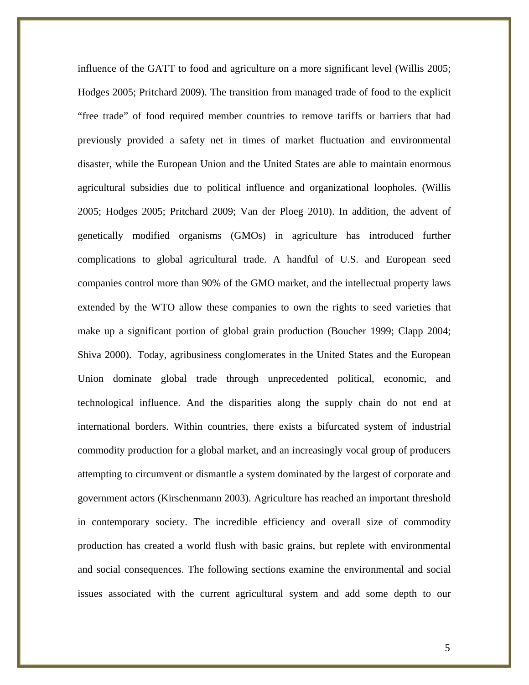influence of the GATT to food and agriculture on a more significant level (Willis 2005; Hodges 2005; Pritchard 2009). The transition from managed trade of food to the explicit "free trade" of food required member countries to remove tariffs or barriers that had previously provided a safety net in times of market fluctuation and environmental disaster, while the European Union and the United States are able to maintain enormous agricultural subsidies due to political influence and organizational loopholes. (Willis 2005; Hodges 2005; Pritchard 2009; Van der Ploeg 2010). In addition, the advent of genetically modified organisms (GMOs) in agriculture has introduced further complications to global agricultural trade. A handful of U.S. and European seed companies control more than 90% of the GMO market, and the intellectual property laws extended by the WTO allow these companies to own the rights to seed varieties that make up a significant portion of global grain production (Boucher 1999; Clapp 2004; Shiva 2000). Today, agribusiness conglomerates in the United States and the European Union dominate global trade through unprecedented political, economic, and technological influence. And the disparities along the supply chain do not end at international borders. Within countries, there exists a bifurcated system of industrial commodity production for a global market, and an increasingly vocal group of producers attempting to circumvent or dismantle a system dominated by the largest of corporate and government actors (Kirschenmann 2003). Agriculture has reached an important threshold in contemporary society. The incredible efficiency and overall size of commodity production has created a world flush with basic grains, but replete with environmental and social consequences. The following sections examine the environmental and social issues associated with the current agricultural system and add some depth to our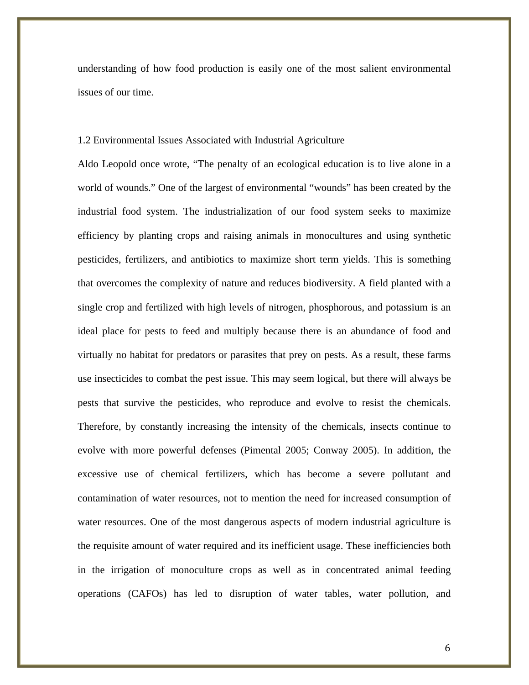understanding of how food production is easily one of the most salient environmental issues of our time.

#### 1.2 Environmental Issues Associated with Industrial Agriculture

Aldo Leopold once wrote, "The penalty of an ecological education is to live alone in a world of wounds." One of the largest of environmental "wounds" has been created by the industrial food system. The industrialization of our food system seeks to maximize efficiency by planting crops and raising animals in monocultures and using synthetic pesticides, fertilizers, and antibiotics to maximize short term yields. This is something that overcomes the complexity of nature and reduces biodiversity. A field planted with a single crop and fertilized with high levels of nitrogen, phosphorous, and potassium is an ideal place for pests to feed and multiply because there is an abundance of food and virtually no habitat for predators or parasites that prey on pests. As a result, these farms use insecticides to combat the pest issue. This may seem logical, but there will always be pests that survive the pesticides, who reproduce and evolve to resist the chemicals. Therefore, by constantly increasing the intensity of the chemicals, insects continue to evolve with more powerful defenses (Pimental 2005; Conway 2005). In addition, the excessive use of chemical fertilizers, which has become a severe pollutant and contamination of water resources, not to mention the need for increased consumption of water resources. One of the most dangerous aspects of modern industrial agriculture is the requisite amount of water required and its inefficient usage. These inefficiencies both in the irrigation of monoculture crops as well as in concentrated animal feeding operations (CAFOs) has led to disruption of water tables, water pollution, and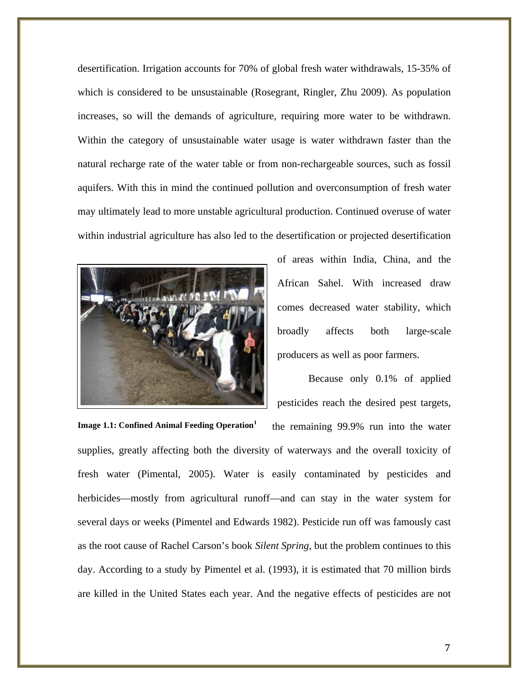desertification. Irrigation accounts for 70% of global fresh water withdrawals, 15-35% of which is considered to be unsustainable (Rosegrant, Ringler, Zhu 2009). As population increases, so will the demands of agriculture, requiring more water to be withdrawn. Within the category of unsustainable water usage is water withdrawn faster than the natural recharge rate of the water table or from non-rechargeable sources, such as fossil aquifers. With this in mind the continued pollution and overconsumption of fresh water may ultimately lead to more unstable agricultural production. Continued overuse of water within industrial agriculture has also led to the desertification or projected desertification



of areas within India, China, and the African Sahel. With increased draw comes decreased water stability, which broadly affects both large-scale producers as well as poor farmers.

Because only 0.1% of applied pesticides reach the desired pest targets,

the remaining 99.9% run into the water supplies, greatly affecting both the diversity of waterways and the overall toxicity of fresh water (Pimental, 2005). Water is easily contaminated by pesticides and herbicides—mostly from agricultural runoff—and can stay in the water system for several days or weeks (Pimentel and Edwards 1982). Pesticide run off was famously cast as the root cause of Rachel Carson's book *Silent Spring*, but the problem continues to this day. According to a study by Pimentel et al. (1993), it is estimated that 70 million birds are killed in the United States each year. And the negative effects of pesticides are not **Image 1.1: Confined Animal Feeding Operation<sup>1</sup>**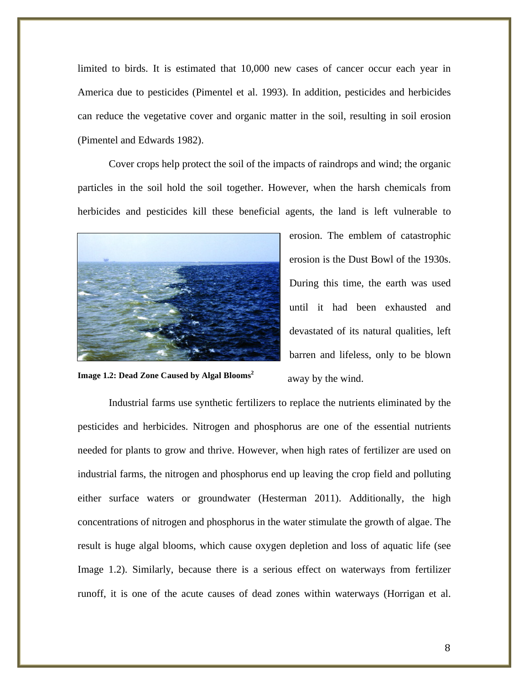limited to birds. It is estimated that 10,000 new cases of cancer occur each year in America due to pesticides (Pimentel et al. 1993). In addition, pesticides and herbicides can reduce the vegetative cover and organic matter in the soil, resulting in soil erosion (Pimentel and Edwards 1982).

Cover crops help protect the soil of the impacts of raindrops and wind; the organic particles in the soil hold the soil together. However, when the harsh chemicals from herbicides and pesticides kill these beneficial agents, the land is left vulnerable to



**Image 1.2: Dead Zone Caused by Algal Blooms<sup>2</sup>**

erosion. The emblem of catastrophic erosion is the Dust Bowl of the 1930s. During this time, the earth was used until it had been exhausted and devastated of its natural qualities, left barren and lifeless, only to be blown away by the wind.

Industrial farms use synthetic fertilizers to replace the nutrients eliminated by the pesticides and herbicides. Nitrogen and phosphorus are one of the essential nutrients needed for plants to grow and thrive. However, when high rates of fertilizer are used on industrial farms, the nitrogen and phosphorus end up leaving the crop field and polluting either surface waters or groundwater (Hesterman 2011). Additionally, the high concentrations of nitrogen and phosphorus in the water stimulate the growth of algae. The result is huge algal blooms, which cause oxygen depletion and loss of aquatic life (see Image 1.2). Similarly, because there is a serious effect on waterways from fertilizer runoff, it is one of the acute causes of dead zones within waterways (Horrigan et al.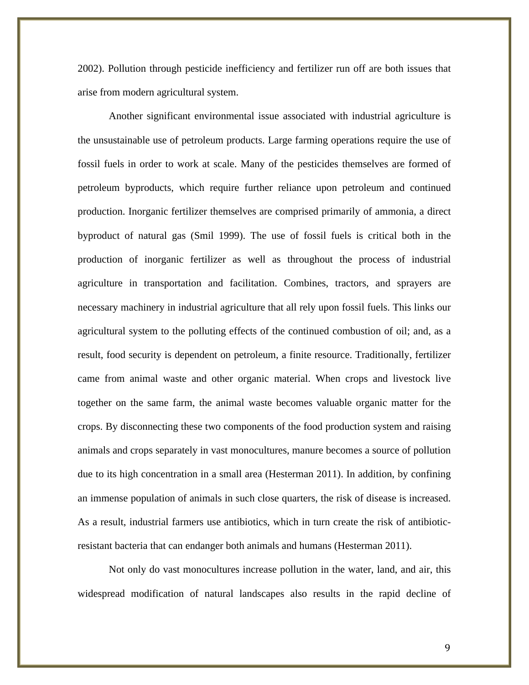2002). Pollution through pesticide inefficiency and fertilizer run off are both issues that arise from modern agricultural system.

Another significant environmental issue associated with industrial agriculture is the unsustainable use of petroleum products. Large farming operations require the use of fossil fuels in order to work at scale. Many of the pesticides themselves are formed of petroleum byproducts, which require further reliance upon petroleum and continued production. Inorganic fertilizer themselves are comprised primarily of ammonia, a direct byproduct of natural gas (Smil 1999). The use of fossil fuels is critical both in the production of inorganic fertilizer as well as throughout the process of industrial agriculture in transportation and facilitation. Combines, tractors, and sprayers are necessary machinery in industrial agriculture that all rely upon fossil fuels. This links our agricultural system to the polluting effects of the continued combustion of oil; and, as a result, food security is dependent on petroleum, a finite resource. Traditionally, fertilizer came from animal waste and other organic material. When crops and livestock live together on the same farm, the animal waste becomes valuable organic matter for the crops. By disconnecting these two components of the food production system and raising animals and crops separately in vast monocultures, manure becomes a source of pollution due to its high concentration in a small area (Hesterman 2011). In addition, by confining an immense population of animals in such close quarters, the risk of disease is increased. As a result, industrial farmers use antibiotics, which in turn create the risk of antibioticresistant bacteria that can endanger both animals and humans (Hesterman 2011).

Not only do vast monocultures increase pollution in the water, land, and air, this widespread modification of natural landscapes also results in the rapid decline of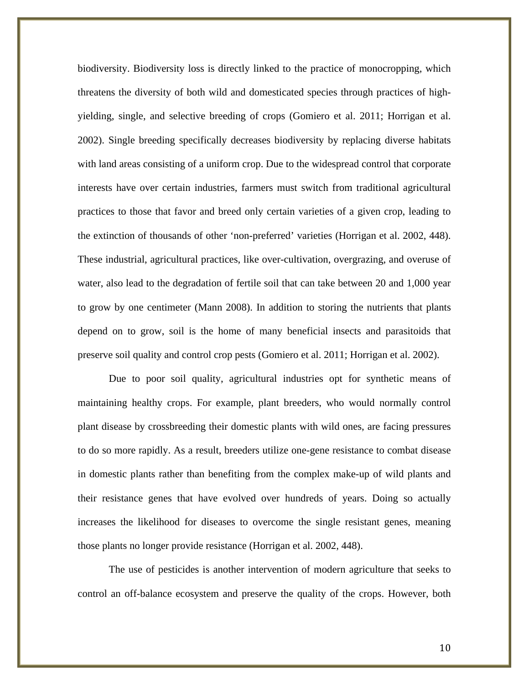biodiversity. Biodiversity loss is directly linked to the practice of monocropping, which threatens the diversity of both wild and domesticated species through practices of highyielding, single, and selective breeding of crops (Gomiero et al. 2011; Horrigan et al. 2002). Single breeding specifically decreases biodiversity by replacing diverse habitats with land areas consisting of a uniform crop. Due to the widespread control that corporate interests have over certain industries, farmers must switch from traditional agricultural practices to those that favor and breed only certain varieties of a given crop, leading to the extinction of thousands of other 'non-preferred' varieties (Horrigan et al. 2002, 448). These industrial, agricultural practices, like over-cultivation, overgrazing, and overuse of water, also lead to the degradation of fertile soil that can take between 20 and 1,000 year to grow by one centimeter (Mann 2008). In addition to storing the nutrients that plants depend on to grow, soil is the home of many beneficial insects and parasitoids that preserve soil quality and control crop pests (Gomiero et al. 2011; Horrigan et al. 2002).

Due to poor soil quality, agricultural industries opt for synthetic means of maintaining healthy crops. For example, plant breeders, who would normally control plant disease by crossbreeding their domestic plants with wild ones, are facing pressures to do so more rapidly. As a result, breeders utilize one-gene resistance to combat disease in domestic plants rather than benefiting from the complex make-up of wild plants and their resistance genes that have evolved over hundreds of years. Doing so actually increases the likelihood for diseases to overcome the single resistant genes, meaning those plants no longer provide resistance (Horrigan et al. 2002, 448).

The use of pesticides is another intervention of modern agriculture that seeks to control an off-balance ecosystem and preserve the quality of the crops. However, both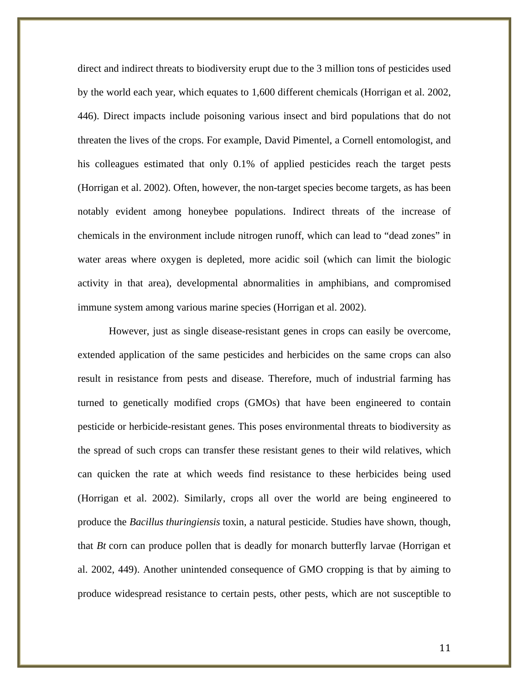direct and indirect threats to biodiversity erupt due to the 3 million tons of pesticides used by the world each year, which equates to 1,600 different chemicals (Horrigan et al. 2002, 446). Direct impacts include poisoning various insect and bird populations that do not threaten the lives of the crops. For example, David Pimentel, a Cornell entomologist, and his colleagues estimated that only 0.1% of applied pesticides reach the target pests (Horrigan et al. 2002). Often, however, the non-target species become targets, as has been notably evident among honeybee populations. Indirect threats of the increase of chemicals in the environment include nitrogen runoff, which can lead to "dead zones" in water areas where oxygen is depleted, more acidic soil (which can limit the biologic activity in that area), developmental abnormalities in amphibians, and compromised immune system among various marine species (Horrigan et al. 2002).

However, just as single disease-resistant genes in crops can easily be overcome, extended application of the same pesticides and herbicides on the same crops can also result in resistance from pests and disease. Therefore, much of industrial farming has turned to genetically modified crops (GMOs) that have been engineered to contain pesticide or herbicide-resistant genes. This poses environmental threats to biodiversity as the spread of such crops can transfer these resistant genes to their wild relatives, which can quicken the rate at which weeds find resistance to these herbicides being used (Horrigan et al. 2002). Similarly, crops all over the world are being engineered to produce the *Bacillus thuringiensis* toxin, a natural pesticide. Studies have shown, though, that *Bt* corn can produce pollen that is deadly for monarch butterfly larvae (Horrigan et al. 2002, 449). Another unintended consequence of GMO cropping is that by aiming to produce widespread resistance to certain pests, other pests, which are not susceptible to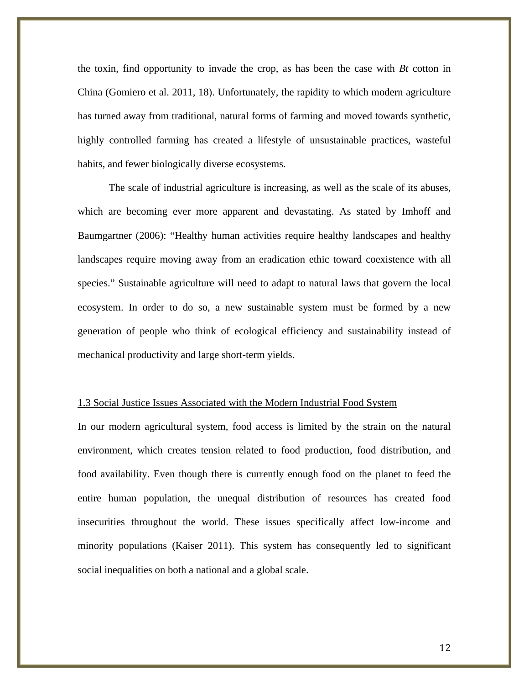the toxin, find opportunity to invade the crop, as has been the case with *Bt* cotton in China (Gomiero et al. 2011, 18). Unfortunately, the rapidity to which modern agriculture has turned away from traditional, natural forms of farming and moved towards synthetic, highly controlled farming has created a lifestyle of unsustainable practices, wasteful habits, and fewer biologically diverse ecosystems.

The scale of industrial agriculture is increasing, as well as the scale of its abuses, which are becoming ever more apparent and devastating. As stated by Imhoff and Baumgartner (2006): "Healthy human activities require healthy landscapes and healthy landscapes require moving away from an eradication ethic toward coexistence with all species." Sustainable agriculture will need to adapt to natural laws that govern the local ecosystem. In order to do so, a new sustainable system must be formed by a new generation of people who think of ecological efficiency and sustainability instead of mechanical productivity and large short-term yields.

#### 1.3 Social Justice Issues Associated with the Modern Industrial Food System

In our modern agricultural system, food access is limited by the strain on the natural environment, which creates tension related to food production, food distribution, and food availability. Even though there is currently enough food on the planet to feed the entire human population, the unequal distribution of resources has created food insecurities throughout the world. These issues specifically affect low-income and minority populations (Kaiser 2011). This system has consequently led to significant social inequalities on both a national and a global scale.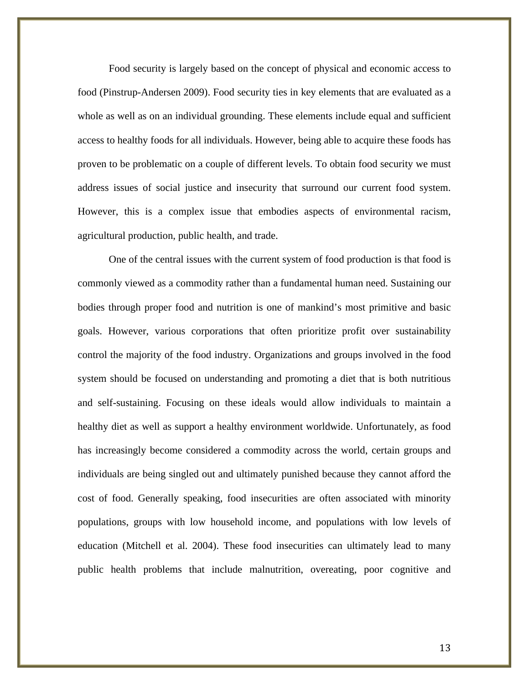Food security is largely based on the concept of physical and economic access to food (Pinstrup-Andersen 2009). Food security ties in key elements that are evaluated as a whole as well as on an individual grounding. These elements include equal and sufficient access to healthy foods for all individuals. However, being able to acquire these foods has proven to be problematic on a couple of different levels. To obtain food security we must address issues of social justice and insecurity that surround our current food system. However, this is a complex issue that embodies aspects of environmental racism, agricultural production, public health, and trade.

One of the central issues with the current system of food production is that food is commonly viewed as a commodity rather than a fundamental human need. Sustaining our bodies through proper food and nutrition is one of mankind's most primitive and basic goals. However, various corporations that often prioritize profit over sustainability control the majority of the food industry. Organizations and groups involved in the food system should be focused on understanding and promoting a diet that is both nutritious and self-sustaining. Focusing on these ideals would allow individuals to maintain a healthy diet as well as support a healthy environment worldwide. Unfortunately, as food has increasingly become considered a commodity across the world, certain groups and individuals are being singled out and ultimately punished because they cannot afford the cost of food. Generally speaking, food insecurities are often associated with minority populations, groups with low household income, and populations with low levels of education (Mitchell et al. 2004). These food insecurities can ultimately lead to many public health problems that include malnutrition, overeating, poor cognitive and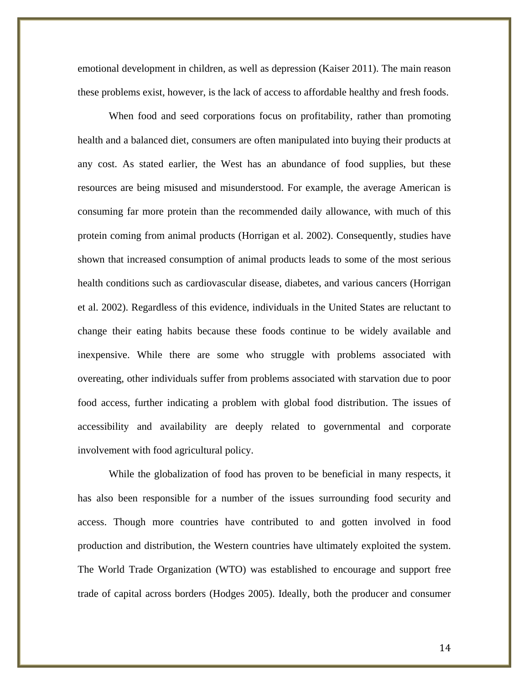emotional development in children, as well as depression (Kaiser 2011). The main reason these problems exist, however, is the lack of access to affordable healthy and fresh foods.

When food and seed corporations focus on profitability, rather than promoting health and a balanced diet, consumers are often manipulated into buying their products at any cost. As stated earlier, the West has an abundance of food supplies, but these resources are being misused and misunderstood. For example, the average American is consuming far more protein than the recommended daily allowance, with much of this protein coming from animal products (Horrigan et al. 2002). Consequently, studies have shown that increased consumption of animal products leads to some of the most serious health conditions such as cardiovascular disease, diabetes, and various cancers (Horrigan et al. 2002). Regardless of this evidence, individuals in the United States are reluctant to change their eating habits because these foods continue to be widely available and inexpensive. While there are some who struggle with problems associated with overeating, other individuals suffer from problems associated with starvation due to poor food access, further indicating a problem with global food distribution. The issues of accessibility and availability are deeply related to governmental and corporate involvement with food agricultural policy.

While the globalization of food has proven to be beneficial in many respects, it has also been responsible for a number of the issues surrounding food security and access. Though more countries have contributed to and gotten involved in food production and distribution, the Western countries have ultimately exploited the system. The World Trade Organization (WTO) was established to encourage and support free trade of capital across borders (Hodges 2005). Ideally, both the producer and consumer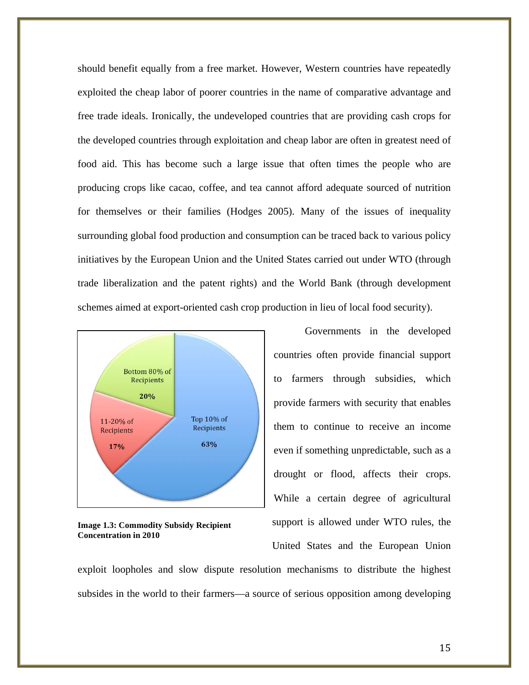should benefit equally from a free market. However, Western countries have repeatedly exploited the cheap labor of poorer countries in the name of comparative advantage and free trade ideals. Ironically, the undeveloped countries that are providing cash crops for the developed countries through exploitation and cheap labor are often in greatest need of food aid. This has become such a large issue that often times the people who are producing crops like cacao, coffee, and tea cannot afford adequate sourced of nutrition for themselves or their families (Hodges 2005). Many of the issues of inequality surrounding global food production and consumption can be traced back to various policy initiatives by the European Union and the United States carried out under WTO (through trade liberalization and the patent rights) and the World Bank (through development schemes aimed at export-oriented cash crop production in lieu of local food security).



**Image 1.3: Commodity Subsidy Recipient Concentration in 2010**

Governments in the developed countries often provide financial support to farmers through subsidies, which provide farmers with security that enables them to continue to receive an income even if something unpredictable, such as a drought or flood, affects their crops. While a certain degree of agricultural support is allowed under WTO rules, the

United States and the European Union

exploit loopholes and slow dispute resolution mechanisms to distribute the highest subsides in the world to their farmers—a source of serious opposition among developing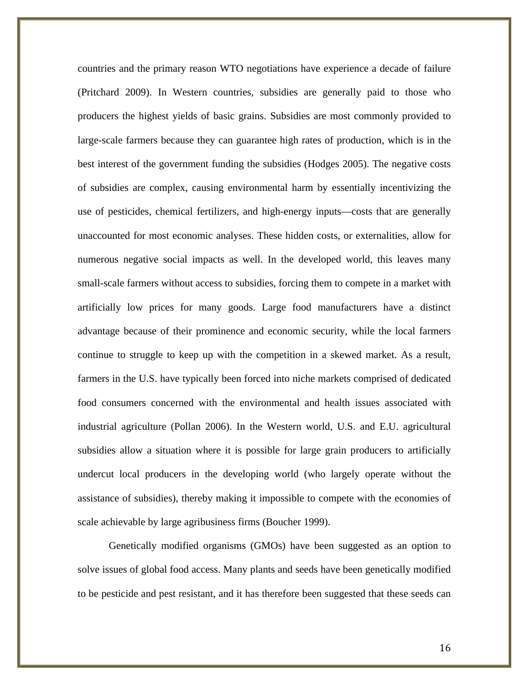countries and the primary reason WTO negotiations have experience a decade of failure (Pritchard 2009). In Western countries, subsidies are generally paid to those who producers the highest yields of basic grains. Subsidies are most commonly provided to large-scale farmers because they can guarantee high rates of production, which is in the best interest of the government funding the subsidies (Hodges 2005). The negative costs of subsidies are complex, causing environmental harm by essentially incentivizing the use of pesticides, chemical fertilizers, and high-energy inputs—costs that are generally unaccounted for most economic analyses. These hidden costs, or externalities, allow for numerous negative social impacts as well. In the developed world, this leaves many small-scale farmers without access to subsidies, forcing them to compete in a market with artificially low prices for many goods. Large food manufacturers have a distinct advantage because of their prominence and economic security, while the local farmers continue to struggle to keep up with the competition in a skewed market. As a result, farmers in the U.S. have typically been forced into niche markets comprised of dedicated food consumers concerned with the environmental and health issues associated with industrial agriculture (Pollan 2006). In the Western world, U.S. and E.U. agricultural subsidies allow a situation where it is possible for large grain producers to artificially undercut local producers in the developing world (who largely operate without the assistance of subsidies), thereby making it impossible to compete with the economies of scale achievable by large agribusiness firms (Boucher 1999).

Genetically modified organisms (GMOs) have been suggested as an option to solve issues of global food access. Many plants and seeds have been genetically modified to be pesticide and pest resistant, and it has therefore been suggested that these seeds can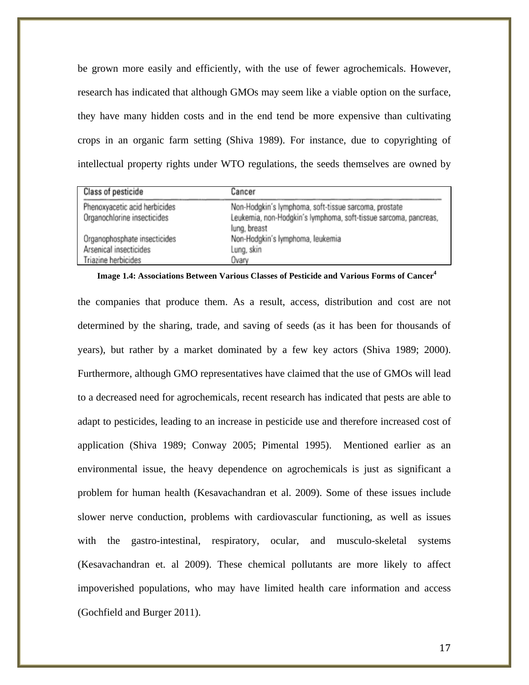be grown more easily and efficiently, with the use of fewer agrochemicals. However, research has indicated that although GMOs may seem like a viable option on the surface, they have many hidden costs and in the end tend be more expensive than cultivating crops in an organic farm setting (Shiva 1989). For instance, due to copyrighting of intellectual property rights under WTO regulations, the seeds themselves are owned by

| Class of pesticide            | Cancer                                                                           |
|-------------------------------|----------------------------------------------------------------------------------|
| Phenoxyacetic acid herbicides | Non-Hodgkin's lymphoma, soft-tissue sarcoma, prostate                            |
| Organochlorine insecticides   | Leukemia, non-Hodgkin's lymphoma, soft-tissue sarcoma, pancreas,<br>lung, breast |
| Organophosphate insecticides  | Non-Hodgkin's lymphoma, leukemia                                                 |
| Arsenical insecticides        | Lung, skin                                                                       |
| Triazine herbicides           | Ovary                                                                            |

 **Image 1.4: Associations Between Various Classes of Pesticide and Various Forms of Cancer4**

the companies that produce them. As a result, access, distribution and cost are not determined by the sharing, trade, and saving of seeds (as it has been for thousands of years), but rather by a market dominated by a few key actors (Shiva 1989; 2000). Furthermore, although GMO representatives have claimed that the use of GMOs will lead to a decreased need for agrochemicals, recent research has indicated that pests are able to adapt to pesticides, leading to an increase in pesticide use and therefore increased cost of application (Shiva 1989; Conway 2005; Pimental 1995). Mentioned earlier as an environmental issue, the heavy dependence on agrochemicals is just as significant a problem for human health (Kesavachandran et al. 2009). Some of these issues include slower nerve conduction, problems with cardiovascular functioning, as well as issues with the gastro-intestinal, respiratory, ocular, and musculo-skeletal systems (Kesavachandran et. al 2009). These chemical pollutants are more likely to affect impoverished populations, who may have limited health care information and access (Gochfield and Burger 2011).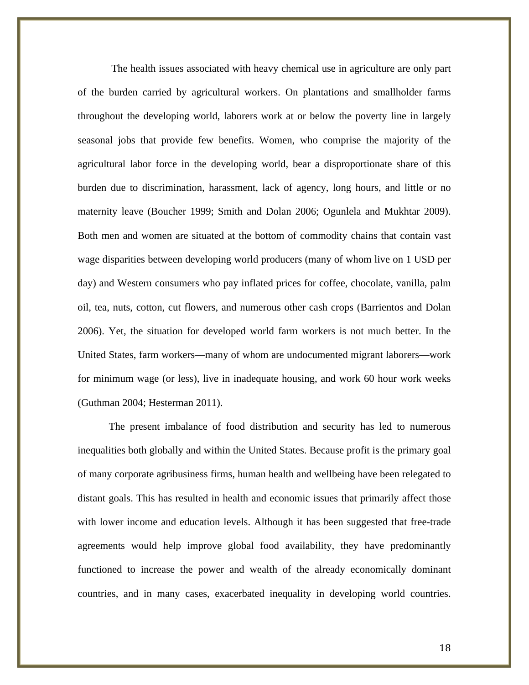The health issues associated with heavy chemical use in agriculture are only part of the burden carried by agricultural workers. On plantations and smallholder farms throughout the developing world, laborers work at or below the poverty line in largely seasonal jobs that provide few benefits. Women, who comprise the majority of the agricultural labor force in the developing world, bear a disproportionate share of this burden due to discrimination, harassment, lack of agency, long hours, and little or no maternity leave (Boucher 1999; Smith and Dolan 2006; Ogunlela and Mukhtar 2009). Both men and women are situated at the bottom of commodity chains that contain vast wage disparities between developing world producers (many of whom live on 1 USD per day) and Western consumers who pay inflated prices for coffee, chocolate, vanilla, palm oil, tea, nuts, cotton, cut flowers, and numerous other cash crops (Barrientos and Dolan 2006). Yet, the situation for developed world farm workers is not much better. In the United States, farm workers—many of whom are undocumented migrant laborers—work for minimum wage (or less), live in inadequate housing, and work 60 hour work weeks (Guthman 2004; Hesterman 2011).

The present imbalance of food distribution and security has led to numerous inequalities both globally and within the United States. Because profit is the primary goal of many corporate agribusiness firms, human health and wellbeing have been relegated to distant goals. This has resulted in health and economic issues that primarily affect those with lower income and education levels. Although it has been suggested that free-trade agreements would help improve global food availability, they have predominantly functioned to increase the power and wealth of the already economically dominant countries, and in many cases, exacerbated inequality in developing world countries.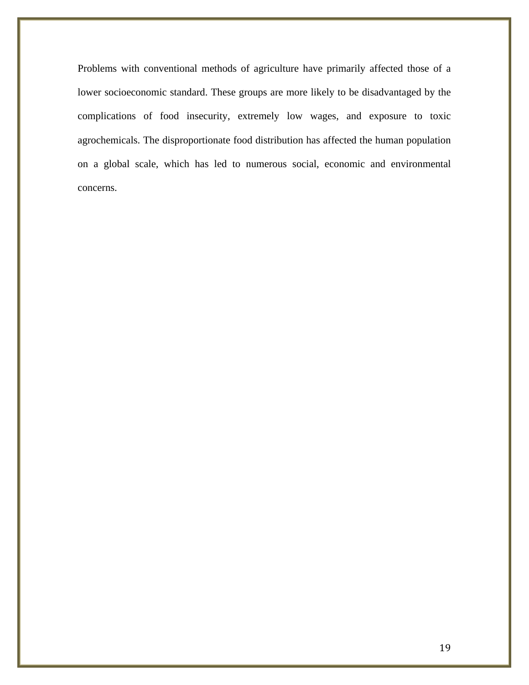Problems with conventional methods of agriculture have primarily affected those of a lower socioeconomic standard. These groups are more likely to be disadvantaged by the complications of food insecurity, extremely low wages, and exposure to toxic agrochemicals. The disproportionate food distribution has affected the human population on a global scale, which has led to numerous social, economic and environmental concerns.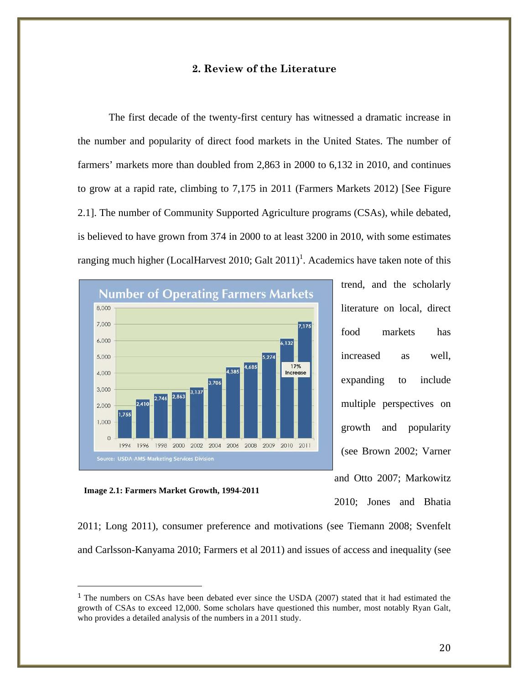### **2. Review of the Literature**

The first decade of the twenty-first century has witnessed a dramatic increase in the number and popularity of direct food markets in the United States. The number of farmers' markets more than doubled from 2,863 in 2000 to 6,132 in 2010, and continues to grow at a rapid rate, climbing to 7,175 in 2011 (Farmers Markets 2012) [See Figure 2.1]. The number of Community Supported Agriculture programs (CSAs), while debated, is believed to have grown from 374 in 2000 to at least 3200 in 2010, with some estimates ranging much higher (LocalHarvest 2010; Galt  $2011$ )<sup>1</sup>. Academics have taken note of this



trend, and the scholarly literature on local, direct food markets has increased as well, expanding to include multiple perspectives on growth and popularity (see Brown 2002; Varner and Otto 2007; Markowitz 2010; Jones and Bhatia

**Image 2.1: Farmers Market Growth, 1994-2011**

!!!!!!!!!!!!!!!!!!!!!!!!!!!!!!!!!!!!!!!!!!!!!!!!!!!!!!!

2011; Long 2011), consumer preference and motivations (see Tiemann 2008; Svenfelt and Carlsson-Kanyama 2010; Farmers et al 2011) and issues of access and inequality (see

<sup>&</sup>lt;sup>1</sup> The numbers on CSAs have been debated ever since the USDA (2007) stated that it had estimated the growth of CSAs to exceed 12,000. Some scholars have questioned this number, most notably Ryan Galt, who provides a detailed analysis of the numbers in a 2011 study.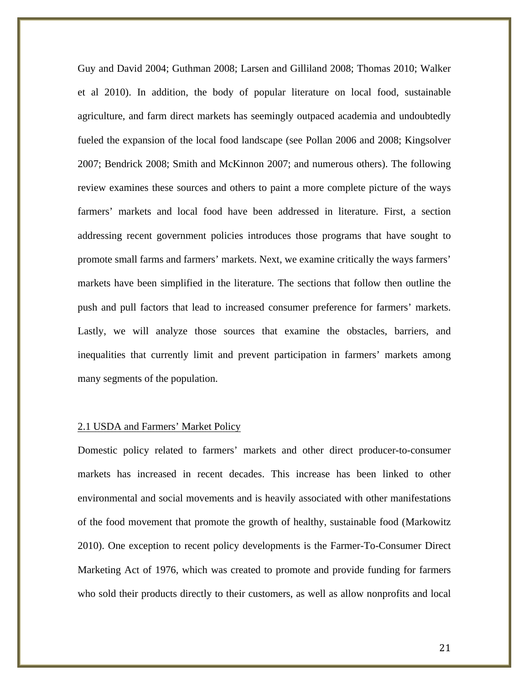Guy and David 2004; Guthman 2008; Larsen and Gilliland 2008; Thomas 2010; Walker et al 2010). In addition, the body of popular literature on local food, sustainable agriculture, and farm direct markets has seemingly outpaced academia and undoubtedly fueled the expansion of the local food landscape (see Pollan 2006 and 2008; Kingsolver 2007; Bendrick 2008; Smith and McKinnon 2007; and numerous others). The following review examines these sources and others to paint a more complete picture of the ways farmers' markets and local food have been addressed in literature. First, a section addressing recent government policies introduces those programs that have sought to promote small farms and farmers' markets. Next, we examine critically the ways farmers' markets have been simplified in the literature. The sections that follow then outline the push and pull factors that lead to increased consumer preference for farmers' markets. Lastly, we will analyze those sources that examine the obstacles, barriers, and inequalities that currently limit and prevent participation in farmers' markets among many segments of the population.

#### 2.1 USDA and Farmers' Market Policy

Domestic policy related to farmers' markets and other direct producer-to-consumer markets has increased in recent decades. This increase has been linked to other environmental and social movements and is heavily associated with other manifestations of the food movement that promote the growth of healthy, sustainable food (Markowitz 2010). One exception to recent policy developments is the Farmer-To-Consumer Direct Marketing Act of 1976, which was created to promote and provide funding for farmers who sold their products directly to their customers, as well as allow nonprofits and local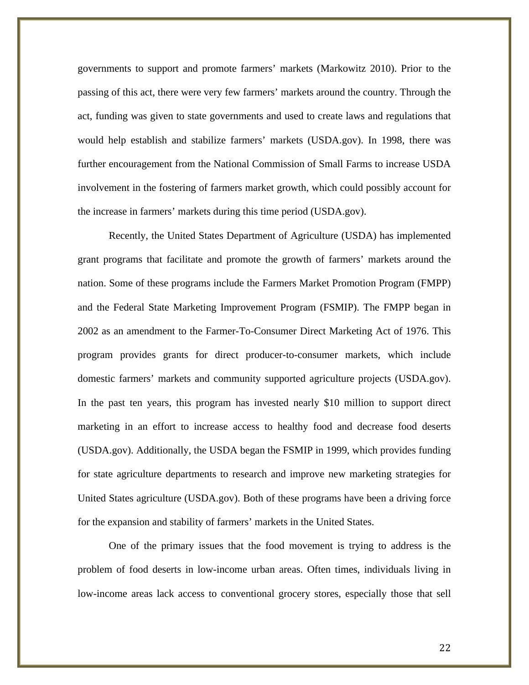governments to support and promote farmers' markets (Markowitz 2010). Prior to the passing of this act, there were very few farmers' markets around the country. Through the act, funding was given to state governments and used to create laws and regulations that would help establish and stabilize farmers' markets (USDA.gov). In 1998, there was further encouragement from the National Commission of Small Farms to increase USDA involvement in the fostering of farmers market growth, which could possibly account for the increase in farmers' markets during this time period (USDA.gov).

Recently, the United States Department of Agriculture (USDA) has implemented grant programs that facilitate and promote the growth of farmers' markets around the nation. Some of these programs include the Farmers Market Promotion Program (FMPP) and the Federal State Marketing Improvement Program (FSMIP). The FMPP began in 2002 as an amendment to the Farmer-To-Consumer Direct Marketing Act of 1976. This program provides grants for direct producer-to-consumer markets, which include domestic farmers' markets and community supported agriculture projects (USDA.gov). In the past ten years, this program has invested nearly \$10 million to support direct marketing in an effort to increase access to healthy food and decrease food deserts (USDA.gov). Additionally, the USDA began the FSMIP in 1999, which provides funding for state agriculture departments to research and improve new marketing strategies for United States agriculture (USDA.gov). Both of these programs have been a driving force for the expansion and stability of farmers' markets in the United States.

One of the primary issues that the food movement is trying to address is the problem of food deserts in low-income urban areas. Often times, individuals living in low-income areas lack access to conventional grocery stores, especially those that sell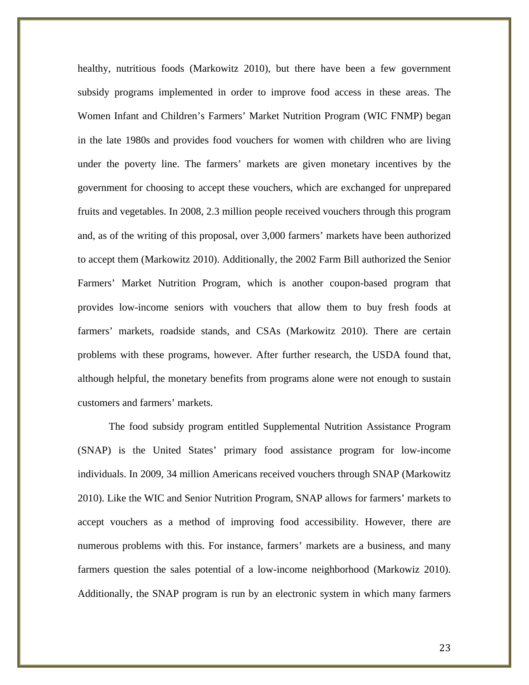healthy, nutritious foods (Markowitz 2010), but there have been a few government subsidy programs implemented in order to improve food access in these areas. The Women Infant and Children's Farmers' Market Nutrition Program (WIC FNMP) began in the late 1980s and provides food vouchers for women with children who are living under the poverty line. The farmers' markets are given monetary incentives by the government for choosing to accept these vouchers, which are exchanged for unprepared fruits and vegetables. In 2008, 2.3 million people received vouchers through this program and, as of the writing of this proposal, over 3,000 farmers' markets have been authorized to accept them (Markowitz 2010). Additionally, the 2002 Farm Bill authorized the Senior Farmers' Market Nutrition Program, which is another coupon-based program that provides low-income seniors with vouchers that allow them to buy fresh foods at farmers' markets, roadside stands, and CSAs (Markowitz 2010). There are certain problems with these programs, however. After further research, the USDA found that, although helpful, the monetary benefits from programs alone were not enough to sustain customers and farmers' markets.

The food subsidy program entitled Supplemental Nutrition Assistance Program (SNAP) is the United States' primary food assistance program for low-income individuals. In 2009, 34 million Americans received vouchers through SNAP (Markowitz 2010). Like the WIC and Senior Nutrition Program, SNAP allows for farmers' markets to accept vouchers as a method of improving food accessibility. However, there are numerous problems with this. For instance, farmers' markets are a business, and many farmers question the sales potential of a low-income neighborhood (Markowiz 2010). Additionally, the SNAP program is run by an electronic system in which many farmers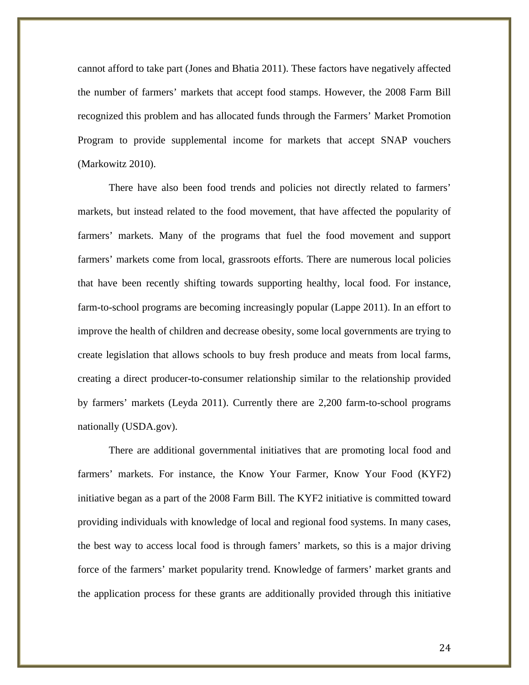cannot afford to take part (Jones and Bhatia 2011). These factors have negatively affected the number of farmers' markets that accept food stamps. However, the 2008 Farm Bill recognized this problem and has allocated funds through the Farmers' Market Promotion Program to provide supplemental income for markets that accept SNAP vouchers (Markowitz 2010).

There have also been food trends and policies not directly related to farmers' markets, but instead related to the food movement, that have affected the popularity of farmers' markets. Many of the programs that fuel the food movement and support farmers' markets come from local, grassroots efforts. There are numerous local policies that have been recently shifting towards supporting healthy, local food. For instance, farm-to-school programs are becoming increasingly popular (Lappe 2011). In an effort to improve the health of children and decrease obesity, some local governments are trying to create legislation that allows schools to buy fresh produce and meats from local farms, creating a direct producer-to-consumer relationship similar to the relationship provided by farmers' markets (Leyda 2011). Currently there are 2,200 farm-to-school programs nationally (USDA.gov).

There are additional governmental initiatives that are promoting local food and farmers' markets. For instance, the Know Your Farmer, Know Your Food (KYF2) initiative began as a part of the 2008 Farm Bill. The KYF2 initiative is committed toward providing individuals with knowledge of local and regional food systems. In many cases, the best way to access local food is through famers' markets, so this is a major driving force of the farmers' market popularity trend. Knowledge of farmers' market grants and the application process for these grants are additionally provided through this initiative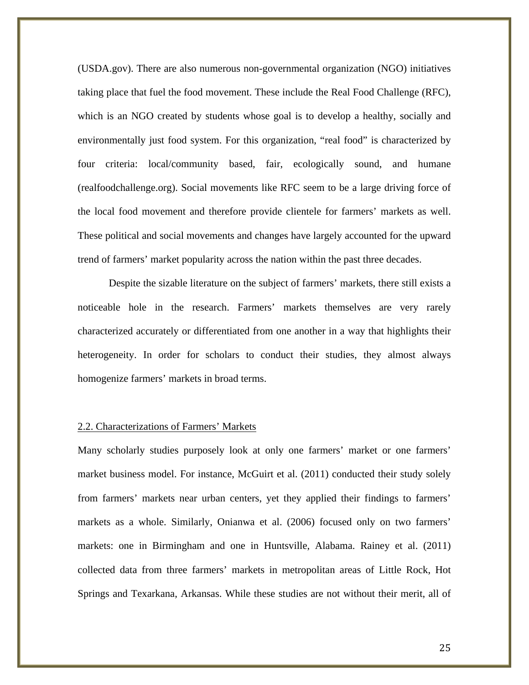(USDA.gov). There are also numerous non-governmental organization (NGO) initiatives taking place that fuel the food movement. These include the Real Food Challenge (RFC), which is an NGO created by students whose goal is to develop a healthy, socially and environmentally just food system. For this organization, "real food" is characterized by four criteria: local/community based, fair, ecologically sound, and humane (realfoodchallenge.org). Social movements like RFC seem to be a large driving force of the local food movement and therefore provide clientele for farmers' markets as well. These political and social movements and changes have largely accounted for the upward trend of farmers' market popularity across the nation within the past three decades.

Despite the sizable literature on the subject of farmers' markets, there still exists a noticeable hole in the research. Farmers' markets themselves are very rarely characterized accurately or differentiated from one another in a way that highlights their heterogeneity. In order for scholars to conduct their studies, they almost always homogenize farmers' markets in broad terms.

#### 2.2. Characterizations of Farmers' Markets

Many scholarly studies purposely look at only one farmers' market or one farmers' market business model. For instance, McGuirt et al. (2011) conducted their study solely from farmers' markets near urban centers, yet they applied their findings to farmers' markets as a whole. Similarly, Onianwa et al. (2006) focused only on two farmers' markets: one in Birmingham and one in Huntsville, Alabama. Rainey et al. (2011) collected data from three farmers' markets in metropolitan areas of Little Rock, Hot Springs and Texarkana, Arkansas. While these studies are not without their merit, all of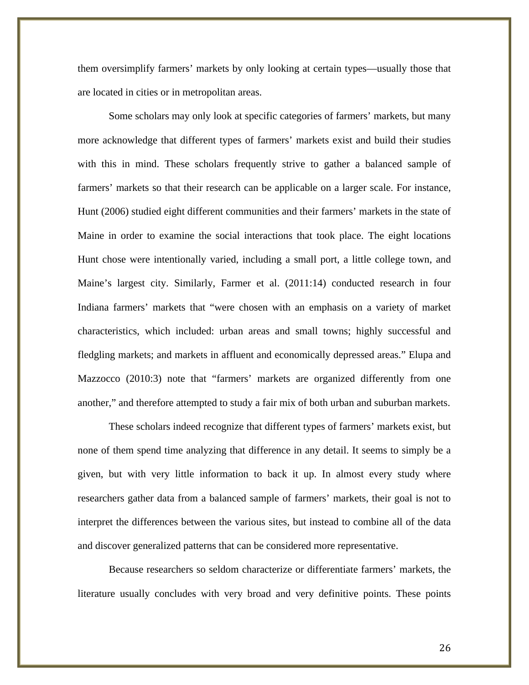them oversimplify farmers' markets by only looking at certain types—usually those that are located in cities or in metropolitan areas.

Some scholars may only look at specific categories of farmers' markets, but many more acknowledge that different types of farmers' markets exist and build their studies with this in mind. These scholars frequently strive to gather a balanced sample of farmers' markets so that their research can be applicable on a larger scale. For instance, Hunt (2006) studied eight different communities and their farmers' markets in the state of Maine in order to examine the social interactions that took place. The eight locations Hunt chose were intentionally varied, including a small port, a little college town, and Maine's largest city. Similarly, Farmer et al. (2011:14) conducted research in four Indiana farmers' markets that "were chosen with an emphasis on a variety of market characteristics, which included: urban areas and small towns; highly successful and fledgling markets; and markets in affluent and economically depressed areas." Elupa and Mazzocco (2010:3) note that "farmers' markets are organized differently from one another," and therefore attempted to study a fair mix of both urban and suburban markets.

These scholars indeed recognize that different types of farmers' markets exist, but none of them spend time analyzing that difference in any detail. It seems to simply be a given, but with very little information to back it up. In almost every study where researchers gather data from a balanced sample of farmers' markets, their goal is not to interpret the differences between the various sites, but instead to combine all of the data and discover generalized patterns that can be considered more representative.

Because researchers so seldom characterize or differentiate farmers' markets, the literature usually concludes with very broad and very definitive points. These points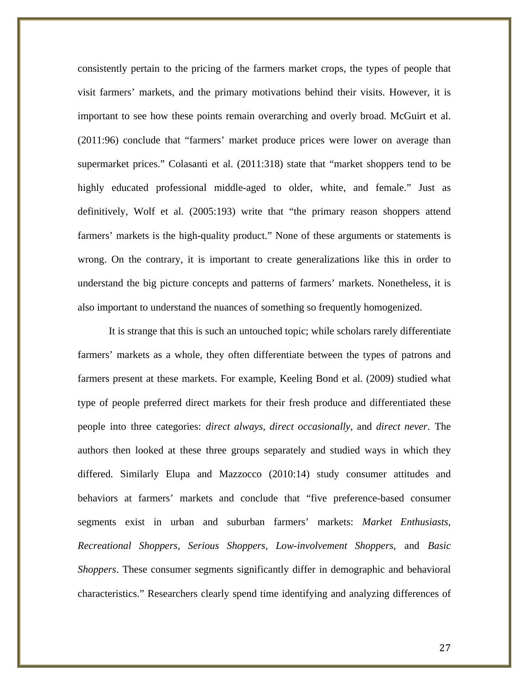consistently pertain to the pricing of the farmers market crops, the types of people that visit farmers' markets, and the primary motivations behind their visits. However, it is important to see how these points remain overarching and overly broad. McGuirt et al. (2011:96) conclude that "farmers' market produce prices were lower on average than supermarket prices." Colasanti et al. (2011:318) state that "market shoppers tend to be highly educated professional middle-aged to older, white, and female." Just as definitively, Wolf et al. (2005:193) write that "the primary reason shoppers attend farmers' markets is the high-quality product." None of these arguments or statements is wrong. On the contrary, it is important to create generalizations like this in order to understand the big picture concepts and patterns of farmers' markets. Nonetheless, it is also important to understand the nuances of something so frequently homogenized.

It is strange that this is such an untouched topic; while scholars rarely differentiate farmers' markets as a whole, they often differentiate between the types of patrons and farmers present at these markets. For example, Keeling Bond et al. (2009) studied what type of people preferred direct markets for their fresh produce and differentiated these people into three categories: *direct always, direct occasionally*, and *direct never*. The authors then looked at these three groups separately and studied ways in which they differed. Similarly Elupa and Mazzocco (2010:14) study consumer attitudes and behaviors at farmers' markets and conclude that "five preference-based consumer segments exist in urban and suburban farmers' markets: *Market Enthusiasts, Recreational Shoppers, Serious Shoppers, Low-involvement Shoppers*, and *Basic Shoppers*. These consumer segments significantly differ in demographic and behavioral characteristics." Researchers clearly spend time identifying and analyzing differences of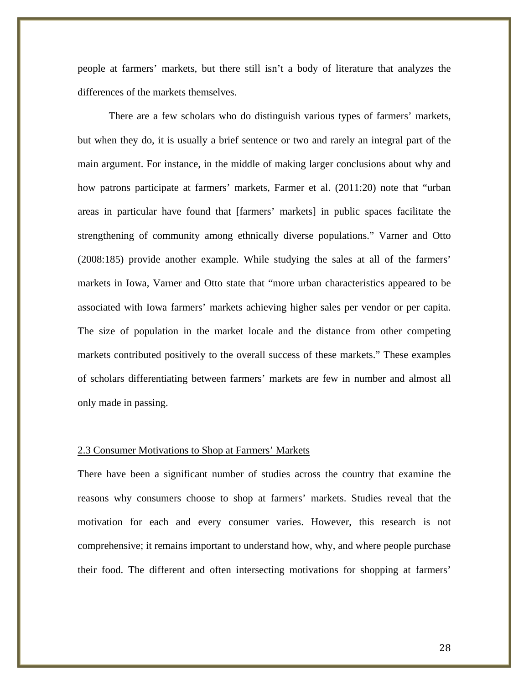people at farmers' markets, but there still isn't a body of literature that analyzes the differences of the markets themselves.

There are a few scholars who do distinguish various types of farmers' markets, but when they do, it is usually a brief sentence or two and rarely an integral part of the main argument. For instance, in the middle of making larger conclusions about why and how patrons participate at farmers' markets, Farmer et al. (2011:20) note that "urban areas in particular have found that [farmers' markets] in public spaces facilitate the strengthening of community among ethnically diverse populations." Varner and Otto (2008:185) provide another example. While studying the sales at all of the farmers' markets in Iowa, Varner and Otto state that "more urban characteristics appeared to be associated with Iowa farmers' markets achieving higher sales per vendor or per capita. The size of population in the market locale and the distance from other competing markets contributed positively to the overall success of these markets." These examples of scholars differentiating between farmers' markets are few in number and almost all only made in passing.

#### 2.3 Consumer Motivations to Shop at Farmers' Markets

There have been a significant number of studies across the country that examine the reasons why consumers choose to shop at farmers' markets. Studies reveal that the motivation for each and every consumer varies. However, this research is not comprehensive; it remains important to understand how, why, and where people purchase their food. The different and often intersecting motivations for shopping at farmers'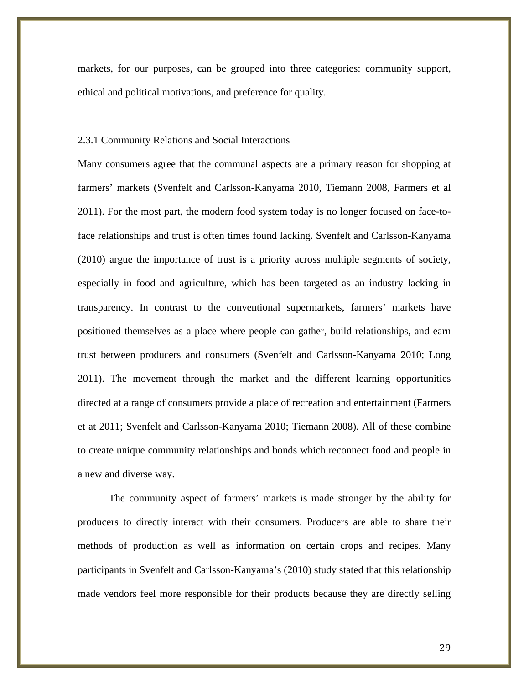markets, for our purposes, can be grouped into three categories: community support, ethical and political motivations, and preference for quality.

#### 2.3.1 Community Relations and Social Interactions

Many consumers agree that the communal aspects are a primary reason for shopping at farmers' markets (Svenfelt and Carlsson-Kanyama 2010, Tiemann 2008, Farmers et al 2011). For the most part, the modern food system today is no longer focused on face-toface relationships and trust is often times found lacking. Svenfelt and Carlsson-Kanyama (2010) argue the importance of trust is a priority across multiple segments of society, especially in food and agriculture, which has been targeted as an industry lacking in transparency. In contrast to the conventional supermarkets, farmers' markets have positioned themselves as a place where people can gather, build relationships, and earn trust between producers and consumers (Svenfelt and Carlsson-Kanyama 2010; Long 2011). The movement through the market and the different learning opportunities directed at a range of consumers provide a place of recreation and entertainment (Farmers et at 2011; Svenfelt and Carlsson-Kanyama 2010; Tiemann 2008). All of these combine to create unique community relationships and bonds which reconnect food and people in a new and diverse way.

The community aspect of farmers' markets is made stronger by the ability for producers to directly interact with their consumers. Producers are able to share their methods of production as well as information on certain crops and recipes. Many participants in Svenfelt and Carlsson-Kanyama's (2010) study stated that this relationship made vendors feel more responsible for their products because they are directly selling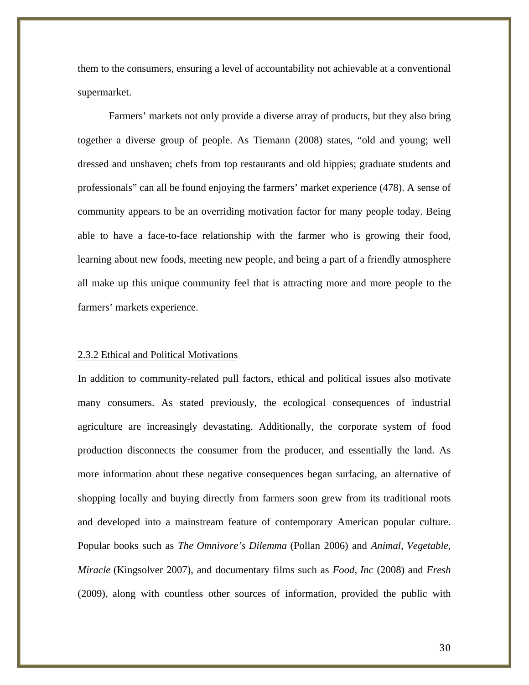them to the consumers, ensuring a level of accountability not achievable at a conventional supermarket.

Farmers' markets not only provide a diverse array of products, but they also bring together a diverse group of people. As Tiemann (2008) states, "old and young; well dressed and unshaven; chefs from top restaurants and old hippies; graduate students and professionals" can all be found enjoying the farmers' market experience (478). A sense of community appears to be an overriding motivation factor for many people today. Being able to have a face-to-face relationship with the farmer who is growing their food, learning about new foods, meeting new people, and being a part of a friendly atmosphere all make up this unique community feel that is attracting more and more people to the farmers' markets experience.

#### 2.3.2 Ethical and Political Motivations

In addition to community-related pull factors, ethical and political issues also motivate many consumers. As stated previously, the ecological consequences of industrial agriculture are increasingly devastating. Additionally, the corporate system of food production disconnects the consumer from the producer, and essentially the land. As more information about these negative consequences began surfacing, an alternative of shopping locally and buying directly from farmers soon grew from its traditional roots and developed into a mainstream feature of contemporary American popular culture. Popular books such as *The Omnivore's Dilemma* (Pollan 2006) and *Animal, Vegetable, Miracle* (Kingsolver 2007), and documentary films such as *Food, Inc* (2008) and *Fresh*  (2009)*,* along with countless other sources of information, provided the public with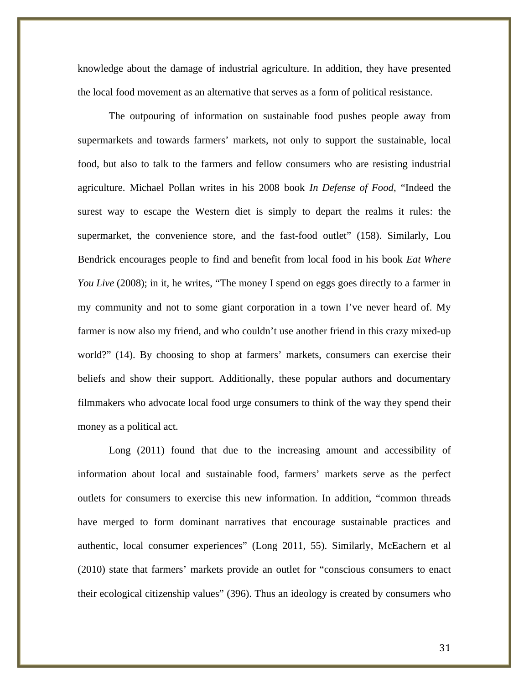knowledge about the damage of industrial agriculture. In addition, they have presented the local food movement as an alternative that serves as a form of political resistance.

The outpouring of information on sustainable food pushes people away from supermarkets and towards farmers' markets, not only to support the sustainable, local food, but also to talk to the farmers and fellow consumers who are resisting industrial agriculture. Michael Pollan writes in his 2008 book *In Defense of Food*, "Indeed the surest way to escape the Western diet is simply to depart the realms it rules: the supermarket, the convenience store, and the fast-food outlet" (158). Similarly, Lou Bendrick encourages people to find and benefit from local food in his book *Eat Where You Live* (2008); in it, he writes, "The money I spend on eggs goes directly to a farmer in my community and not to some giant corporation in a town I've never heard of. My farmer is now also my friend, and who couldn't use another friend in this crazy mixed-up world?" (14). By choosing to shop at farmers' markets, consumers can exercise their beliefs and show their support. Additionally, these popular authors and documentary filmmakers who advocate local food urge consumers to think of the way they spend their money as a political act.

Long (2011) found that due to the increasing amount and accessibility of information about local and sustainable food, farmers' markets serve as the perfect outlets for consumers to exercise this new information. In addition, "common threads have merged to form dominant narratives that encourage sustainable practices and authentic, local consumer experiences" (Long 2011, 55). Similarly, McEachern et al (2010) state that farmers' markets provide an outlet for "conscious consumers to enact their ecological citizenship values" (396). Thus an ideology is created by consumers who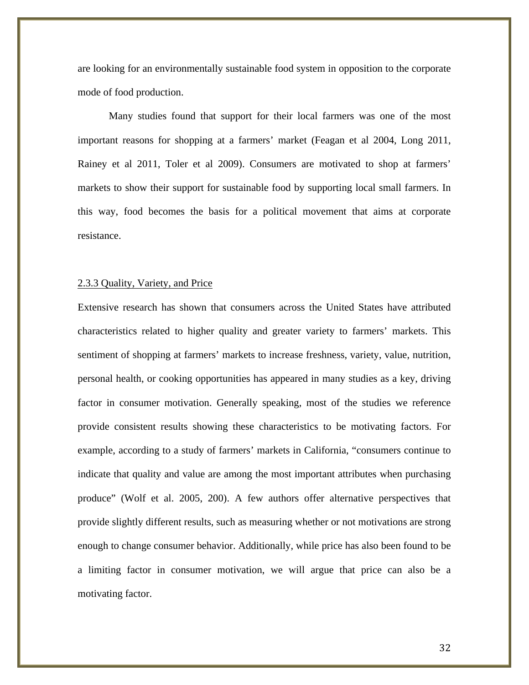are looking for an environmentally sustainable food system in opposition to the corporate mode of food production.

Many studies found that support for their local farmers was one of the most important reasons for shopping at a farmers' market (Feagan et al 2004, Long 2011, Rainey et al 2011, Toler et al 2009). Consumers are motivated to shop at farmers' markets to show their support for sustainable food by supporting local small farmers. In this way, food becomes the basis for a political movement that aims at corporate resistance.

### 2.3.3 Quality, Variety, and Price

Extensive research has shown that consumers across the United States have attributed characteristics related to higher quality and greater variety to farmers' markets. This sentiment of shopping at farmers' markets to increase freshness, variety, value, nutrition, personal health, or cooking opportunities has appeared in many studies as a key, driving factor in consumer motivation. Generally speaking, most of the studies we reference provide consistent results showing these characteristics to be motivating factors. For example, according to a study of farmers' markets in California, "consumers continue to indicate that quality and value are among the most important attributes when purchasing produce" (Wolf et al. 2005, 200). A few authors offer alternative perspectives that provide slightly different results, such as measuring whether or not motivations are strong enough to change consumer behavior. Additionally, while price has also been found to be a limiting factor in consumer motivation, we will argue that price can also be a motivating factor.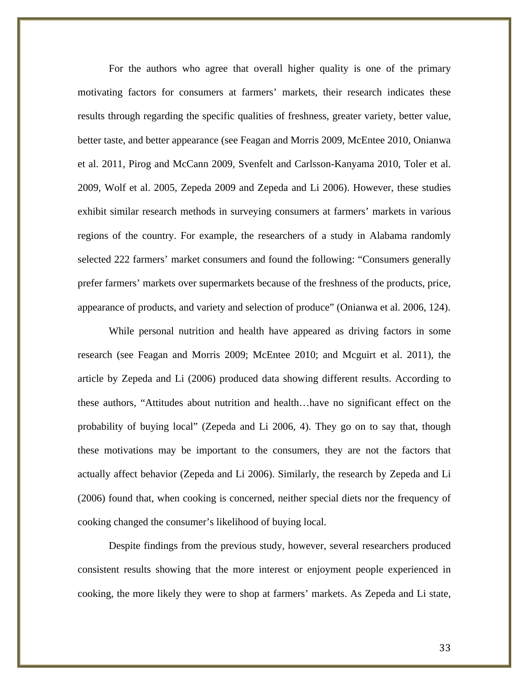For the authors who agree that overall higher quality is one of the primary motivating factors for consumers at farmers' markets, their research indicates these results through regarding the specific qualities of freshness, greater variety, better value, better taste, and better appearance (see Feagan and Morris 2009, McEntee 2010, Onianwa et al. 2011, Pirog and McCann 2009, Svenfelt and Carlsson-Kanyama 2010, Toler et al. 2009, Wolf et al. 2005, Zepeda 2009 and Zepeda and Li 2006). However, these studies exhibit similar research methods in surveying consumers at farmers' markets in various regions of the country. For example, the researchers of a study in Alabama randomly selected 222 farmers' market consumers and found the following: "Consumers generally prefer farmers' markets over supermarkets because of the freshness of the products, price, appearance of products, and variety and selection of produce" (Onianwa et al. 2006, 124).

While personal nutrition and health have appeared as driving factors in some research (see Feagan and Morris 2009; McEntee 2010; and Mcguirt et al. 2011), the article by Zepeda and Li (2006) produced data showing different results. According to these authors, "Attitudes about nutrition and health…have no significant effect on the probability of buying local" (Zepeda and Li 2006, 4). They go on to say that, though these motivations may be important to the consumers, they are not the factors that actually affect behavior (Zepeda and Li 2006). Similarly, the research by Zepeda and Li (2006) found that, when cooking is concerned, neither special diets nor the frequency of cooking changed the consumer's likelihood of buying local.

Despite findings from the previous study, however, several researchers produced consistent results showing that the more interest or enjoyment people experienced in cooking, the more likely they were to shop at farmers' markets. As Zepeda and Li state,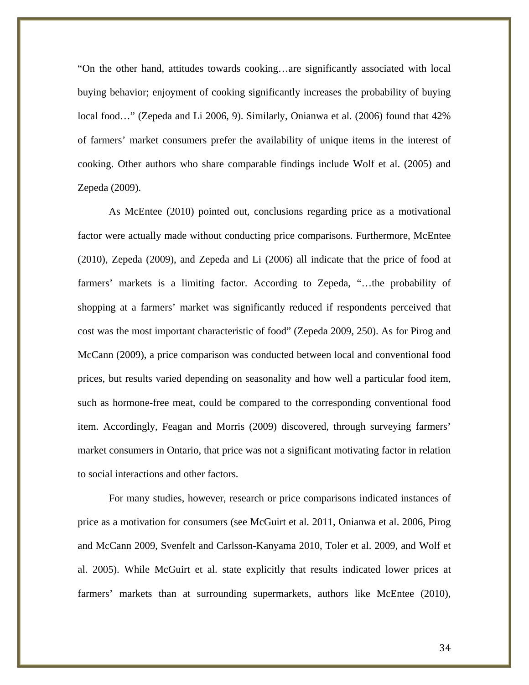"On the other hand, attitudes towards cooking…are significantly associated with local buying behavior; enjoyment of cooking significantly increases the probability of buying local food…" (Zepeda and Li 2006, 9). Similarly, Onianwa et al. (2006) found that 42% of farmers' market consumers prefer the availability of unique items in the interest of cooking. Other authors who share comparable findings include Wolf et al. (2005) and Zepeda (2009).

As McEntee (2010) pointed out, conclusions regarding price as a motivational factor were actually made without conducting price comparisons. Furthermore, McEntee (2010), Zepeda (2009), and Zepeda and Li (2006) all indicate that the price of food at farmers' markets is a limiting factor. According to Zepeda, "…the probability of shopping at a farmers' market was significantly reduced if respondents perceived that cost was the most important characteristic of food" (Zepeda 2009, 250). As for Pirog and McCann (2009), a price comparison was conducted between local and conventional food prices, but results varied depending on seasonality and how well a particular food item, such as hormone-free meat, could be compared to the corresponding conventional food item. Accordingly, Feagan and Morris (2009) discovered, through surveying farmers' market consumers in Ontario, that price was not a significant motivating factor in relation to social interactions and other factors.

For many studies, however, research or price comparisons indicated instances of price as a motivation for consumers (see McGuirt et al. 2011, Onianwa et al. 2006, Pirog and McCann 2009, Svenfelt and Carlsson-Kanyama 2010, Toler et al. 2009, and Wolf et al. 2005). While McGuirt et al. state explicitly that results indicated lower prices at farmers' markets than at surrounding supermarkets, authors like McEntee (2010),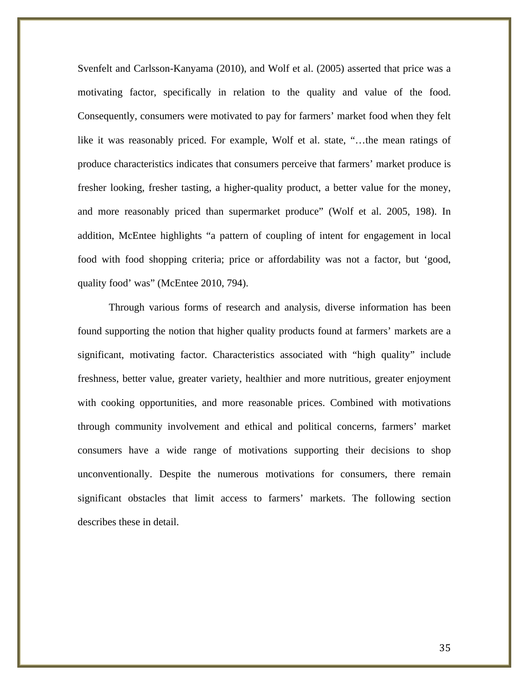Svenfelt and Carlsson-Kanyama (2010), and Wolf et al. (2005) asserted that price was a motivating factor, specifically in relation to the quality and value of the food. Consequently, consumers were motivated to pay for farmers' market food when they felt like it was reasonably priced. For example, Wolf et al. state, "…the mean ratings of produce characteristics indicates that consumers perceive that farmers' market produce is fresher looking, fresher tasting, a higher-quality product, a better value for the money, and more reasonably priced than supermarket produce" (Wolf et al. 2005, 198). In addition, McEntee highlights "a pattern of coupling of intent for engagement in local food with food shopping criteria; price or affordability was not a factor, but 'good, quality food' was" (McEntee 2010, 794).

Through various forms of research and analysis, diverse information has been found supporting the notion that higher quality products found at farmers' markets are a significant, motivating factor. Characteristics associated with "high quality" include freshness, better value, greater variety, healthier and more nutritious, greater enjoyment with cooking opportunities, and more reasonable prices. Combined with motivations through community involvement and ethical and political concerns, farmers' market consumers have a wide range of motivations supporting their decisions to shop unconventionally. Despite the numerous motivations for consumers, there remain significant obstacles that limit access to farmers' markets. The following section describes these in detail.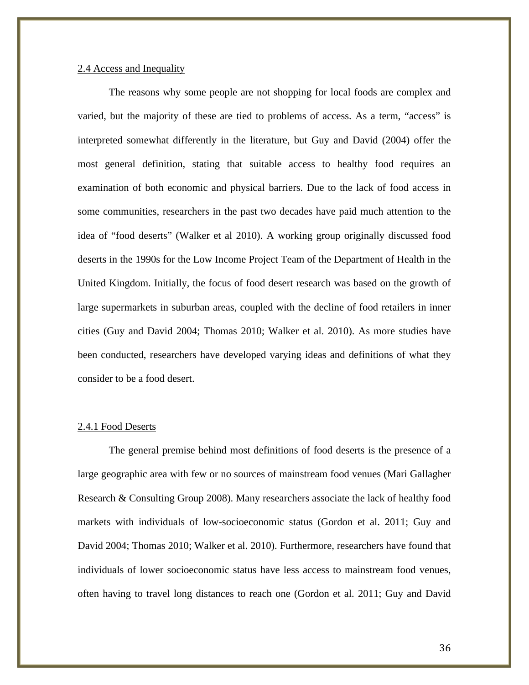# 2.4 Access and Inequality

The reasons why some people are not shopping for local foods are complex and varied, but the majority of these are tied to problems of access. As a term, "access" is interpreted somewhat differently in the literature, but Guy and David (2004) offer the most general definition, stating that suitable access to healthy food requires an examination of both economic and physical barriers. Due to the lack of food access in some communities, researchers in the past two decades have paid much attention to the idea of "food deserts" (Walker et al 2010). A working group originally discussed food deserts in the 1990s for the Low Income Project Team of the Department of Health in the United Kingdom. Initially, the focus of food desert research was based on the growth of large supermarkets in suburban areas, coupled with the decline of food retailers in inner cities (Guy and David 2004; Thomas 2010; Walker et al. 2010). As more studies have been conducted, researchers have developed varying ideas and definitions of what they consider to be a food desert.

### 2.4.1 Food Deserts

The general premise behind most definitions of food deserts is the presence of a large geographic area with few or no sources of mainstream food venues (Mari Gallagher Research & Consulting Group 2008). Many researchers associate the lack of healthy food markets with individuals of low-socioeconomic status (Gordon et al. 2011; Guy and David 2004; Thomas 2010; Walker et al. 2010). Furthermore, researchers have found that individuals of lower socioeconomic status have less access to mainstream food venues, often having to travel long distances to reach one (Gordon et al. 2011; Guy and David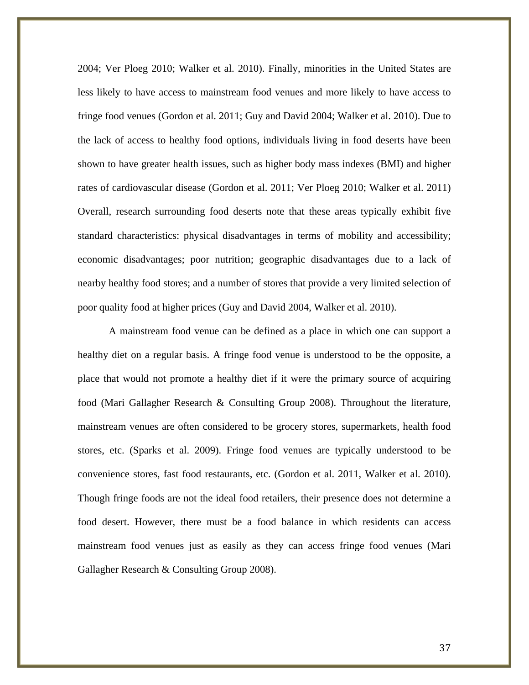2004; Ver Ploeg 2010; Walker et al. 2010). Finally, minorities in the United States are less likely to have access to mainstream food venues and more likely to have access to fringe food venues (Gordon et al. 2011; Guy and David 2004; Walker et al. 2010). Due to the lack of access to healthy food options, individuals living in food deserts have been shown to have greater health issues, such as higher body mass indexes (BMI) and higher rates of cardiovascular disease (Gordon et al. 2011; Ver Ploeg 2010; Walker et al. 2011) Overall, research surrounding food deserts note that these areas typically exhibit five standard characteristics: physical disadvantages in terms of mobility and accessibility; economic disadvantages; poor nutrition; geographic disadvantages due to a lack of nearby healthy food stores; and a number of stores that provide a very limited selection of poor quality food at higher prices (Guy and David 2004, Walker et al. 2010).

A mainstream food venue can be defined as a place in which one can support a healthy diet on a regular basis. A fringe food venue is understood to be the opposite, a place that would not promote a healthy diet if it were the primary source of acquiring food (Mari Gallagher Research & Consulting Group 2008). Throughout the literature, mainstream venues are often considered to be grocery stores, supermarkets, health food stores, etc. (Sparks et al. 2009). Fringe food venues are typically understood to be convenience stores, fast food restaurants, etc. (Gordon et al. 2011, Walker et al. 2010). Though fringe foods are not the ideal food retailers, their presence does not determine a food desert. However, there must be a food balance in which residents can access mainstream food venues just as easily as they can access fringe food venues (Mari Gallagher Research & Consulting Group 2008).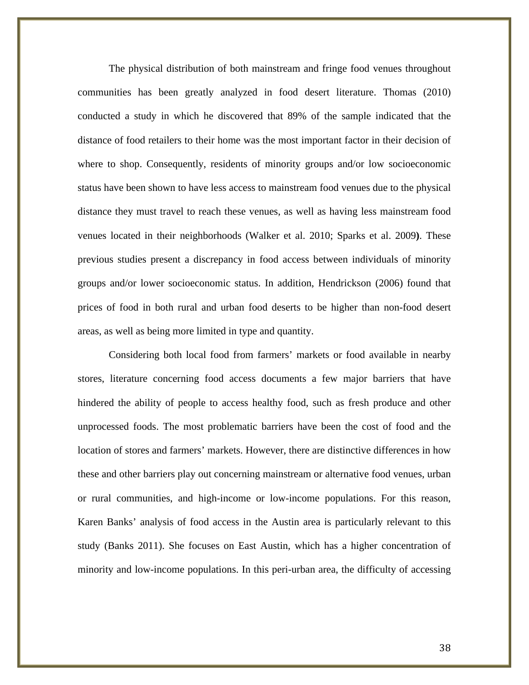The physical distribution of both mainstream and fringe food venues throughout communities has been greatly analyzed in food desert literature. Thomas (2010) conducted a study in which he discovered that 89% of the sample indicated that the distance of food retailers to their home was the most important factor in their decision of where to shop. Consequently, residents of minority groups and/or low socioeconomic status have been shown to have less access to mainstream food venues due to the physical distance they must travel to reach these venues, as well as having less mainstream food venues located in their neighborhoods (Walker et al. 2010; Sparks et al. 2009**)**. These previous studies present a discrepancy in food access between individuals of minority groups and/or lower socioeconomic status. In addition, Hendrickson (2006) found that prices of food in both rural and urban food deserts to be higher than non-food desert areas, as well as being more limited in type and quantity.

Considering both local food from farmers' markets or food available in nearby stores, literature concerning food access documents a few major barriers that have hindered the ability of people to access healthy food, such as fresh produce and other unprocessed foods. The most problematic barriers have been the cost of food and the location of stores and farmers' markets. However, there are distinctive differences in how these and other barriers play out concerning mainstream or alternative food venues, urban or rural communities, and high-income or low-income populations. For this reason, Karen Banks' analysis of food access in the Austin area is particularly relevant to this study (Banks 2011). She focuses on East Austin, which has a higher concentration of minority and low-income populations. In this peri-urban area, the difficulty of accessing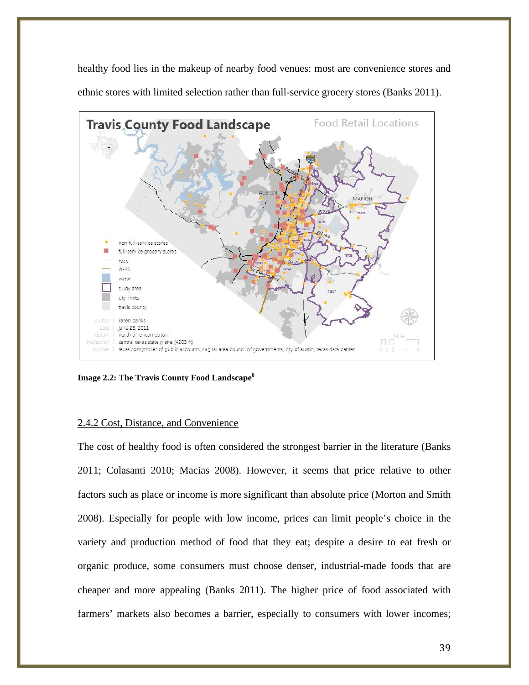healthy food lies in the makeup of nearby food venues: most are convenience stores and ethnic stores with limited selection rather than full-service grocery stores (Banks 2011).



**Image 2.2: The Travis County Food Landscape6**

## 2.4.2 Cost, Distance, and Convenience

The cost of healthy food is often considered the strongest barrier in the literature (Banks 2011; Colasanti 2010; Macias 2008). However, it seems that price relative to other factors such as place or income is more significant than absolute price (Morton and Smith 2008). Especially for people with low income, prices can limit people's choice in the variety and production method of food that they eat; despite a desire to eat fresh or organic produce, some consumers must choose denser, industrial-made foods that are cheaper and more appealing (Banks 2011). The higher price of food associated with farmers' markets also becomes a barrier, especially to consumers with lower incomes;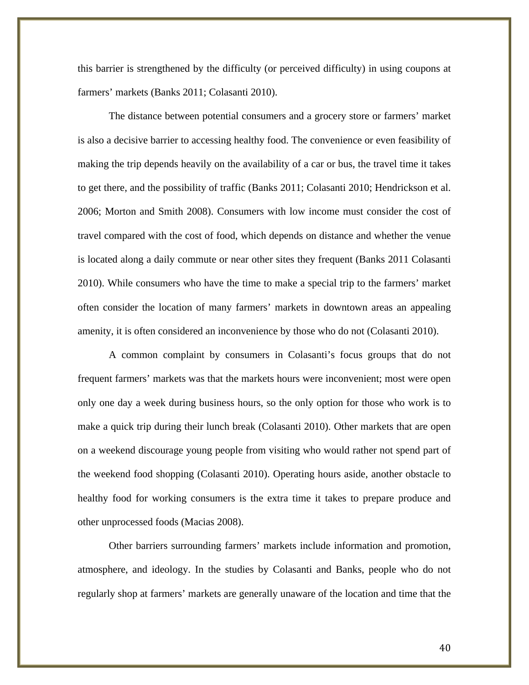this barrier is strengthened by the difficulty (or perceived difficulty) in using coupons at farmers' markets (Banks 2011; Colasanti 2010).

The distance between potential consumers and a grocery store or farmers' market is also a decisive barrier to accessing healthy food. The convenience or even feasibility of making the trip depends heavily on the availability of a car or bus, the travel time it takes to get there, and the possibility of traffic (Banks 2011; Colasanti 2010; Hendrickson et al. 2006; Morton and Smith 2008). Consumers with low income must consider the cost of travel compared with the cost of food, which depends on distance and whether the venue is located along a daily commute or near other sites they frequent (Banks 2011 Colasanti 2010). While consumers who have the time to make a special trip to the farmers' market often consider the location of many farmers' markets in downtown areas an appealing amenity, it is often considered an inconvenience by those who do not (Colasanti 2010).

A common complaint by consumers in Colasanti's focus groups that do not frequent farmers' markets was that the markets hours were inconvenient; most were open only one day a week during business hours, so the only option for those who work is to make a quick trip during their lunch break (Colasanti 2010). Other markets that are open on a weekend discourage young people from visiting who would rather not spend part of the weekend food shopping (Colasanti 2010). Operating hours aside, another obstacle to healthy food for working consumers is the extra time it takes to prepare produce and other unprocessed foods (Macias 2008).

Other barriers surrounding farmers' markets include information and promotion, atmosphere, and ideology. In the studies by Colasanti and Banks, people who do not regularly shop at farmers' markets are generally unaware of the location and time that the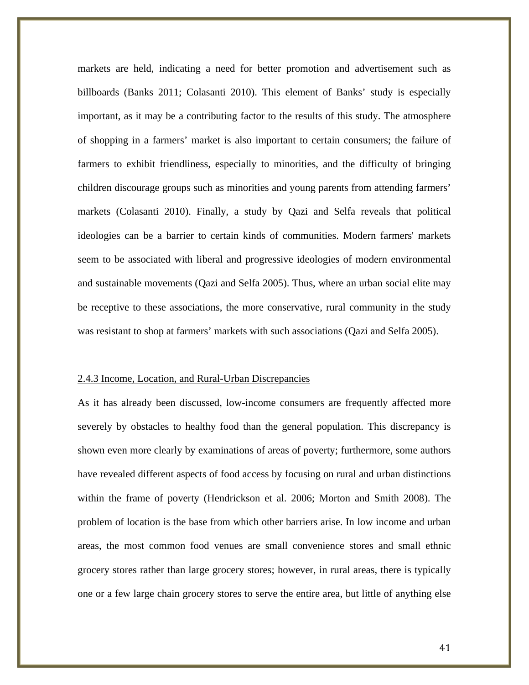markets are held, indicating a need for better promotion and advertisement such as billboards (Banks 2011; Colasanti 2010). This element of Banks' study is especially important, as it may be a contributing factor to the results of this study. The atmosphere of shopping in a farmers' market is also important to certain consumers; the failure of farmers to exhibit friendliness, especially to minorities, and the difficulty of bringing children discourage groups such as minorities and young parents from attending farmers' markets (Colasanti 2010). Finally, a study by Qazi and Selfa reveals that political ideologies can be a barrier to certain kinds of communities. Modern farmers' markets seem to be associated with liberal and progressive ideologies of modern environmental and sustainable movements (Qazi and Selfa 2005). Thus, where an urban social elite may be receptive to these associations, the more conservative, rural community in the study was resistant to shop at farmers' markets with such associations (Qazi and Selfa 2005).

#### 2.4.3 Income, Location, and Rural-Urban Discrepancies

As it has already been discussed, low-income consumers are frequently affected more severely by obstacles to healthy food than the general population. This discrepancy is shown even more clearly by examinations of areas of poverty; furthermore, some authors have revealed different aspects of food access by focusing on rural and urban distinctions within the frame of poverty (Hendrickson et al. 2006; Morton and Smith 2008). The problem of location is the base from which other barriers arise. In low income and urban areas, the most common food venues are small convenience stores and small ethnic grocery stores rather than large grocery stores; however, in rural areas, there is typically one or a few large chain grocery stores to serve the entire area, but little of anything else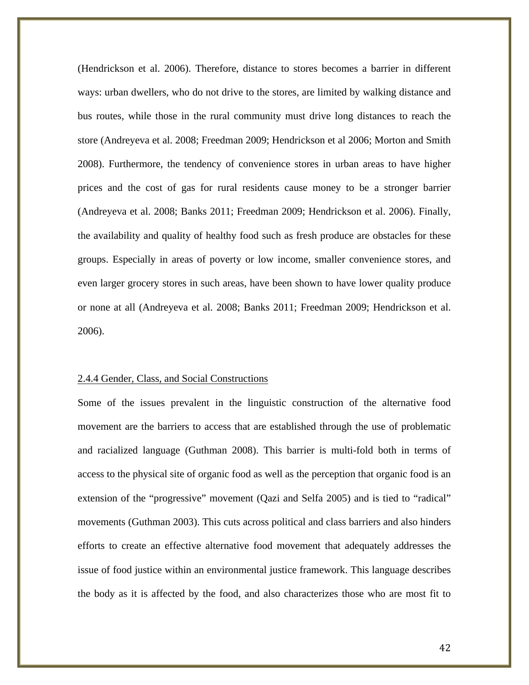(Hendrickson et al. 2006). Therefore, distance to stores becomes a barrier in different ways: urban dwellers, who do not drive to the stores, are limited by walking distance and bus routes, while those in the rural community must drive long distances to reach the store (Andreyeva et al. 2008; Freedman 2009; Hendrickson et al 2006; Morton and Smith 2008). Furthermore, the tendency of convenience stores in urban areas to have higher prices and the cost of gas for rural residents cause money to be a stronger barrier (Andreyeva et al. 2008; Banks 2011; Freedman 2009; Hendrickson et al. 2006). Finally, the availability and quality of healthy food such as fresh produce are obstacles for these groups. Especially in areas of poverty or low income, smaller convenience stores, and even larger grocery stores in such areas, have been shown to have lower quality produce or none at all (Andreyeva et al. 2008; Banks 2011; Freedman 2009; Hendrickson et al. 2006).

#### 2.4.4 Gender, Class, and Social Constructions

Some of the issues prevalent in the linguistic construction of the alternative food movement are the barriers to access that are established through the use of problematic and racialized language (Guthman 2008). This barrier is multi-fold both in terms of access to the physical site of organic food as well as the perception that organic food is an extension of the "progressive" movement (Qazi and Selfa 2005) and is tied to "radical" movements (Guthman 2003). This cuts across political and class barriers and also hinders efforts to create an effective alternative food movement that adequately addresses the issue of food justice within an environmental justice framework. This language describes the body as it is affected by the food, and also characterizes those who are most fit to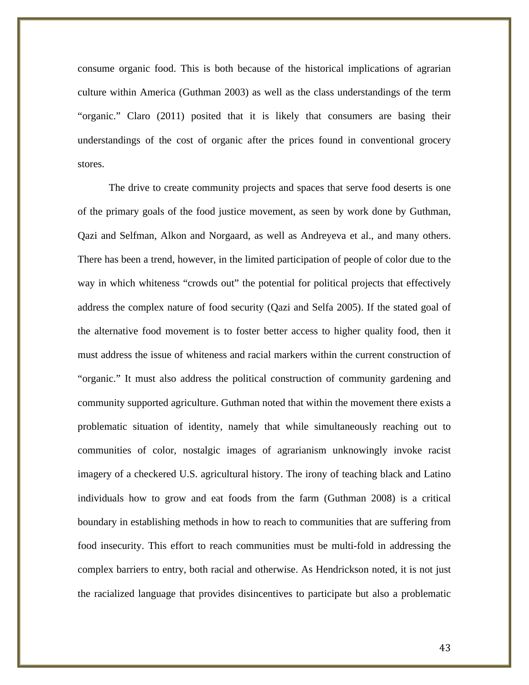consume organic food. This is both because of the historical implications of agrarian culture within America (Guthman 2003) as well as the class understandings of the term "organic." Claro (2011) posited that it is likely that consumers are basing their understandings of the cost of organic after the prices found in conventional grocery stores.

The drive to create community projects and spaces that serve food deserts is one of the primary goals of the food justice movement, as seen by work done by Guthman, Qazi and Selfman, Alkon and Norgaard, as well as Andreyeva et al., and many others. There has been a trend, however, in the limited participation of people of color due to the way in which whiteness "crowds out" the potential for political projects that effectively address the complex nature of food security (Qazi and Selfa 2005). If the stated goal of the alternative food movement is to foster better access to higher quality food, then it must address the issue of whiteness and racial markers within the current construction of "organic." It must also address the political construction of community gardening and community supported agriculture. Guthman noted that within the movement there exists a problematic situation of identity, namely that while simultaneously reaching out to communities of color, nostalgic images of agrarianism unknowingly invoke racist imagery of a checkered U.S. agricultural history. The irony of teaching black and Latino individuals how to grow and eat foods from the farm (Guthman 2008) is a critical boundary in establishing methods in how to reach to communities that are suffering from food insecurity. This effort to reach communities must be multi-fold in addressing the complex barriers to entry, both racial and otherwise. As Hendrickson noted, it is not just the racialized language that provides disincentives to participate but also a problematic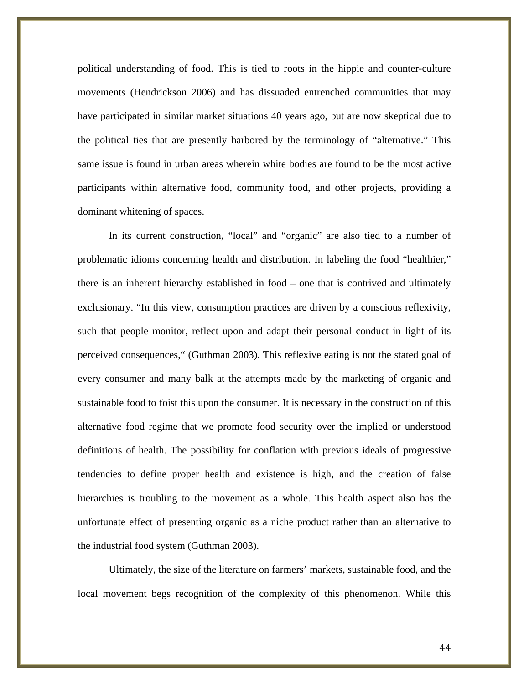political understanding of food. This is tied to roots in the hippie and counter-culture movements (Hendrickson 2006) and has dissuaded entrenched communities that may have participated in similar market situations 40 years ago, but are now skeptical due to the political ties that are presently harbored by the terminology of "alternative." This same issue is found in urban areas wherein white bodies are found to be the most active participants within alternative food, community food, and other projects, providing a dominant whitening of spaces.

In its current construction, "local" and "organic" are also tied to a number of problematic idioms concerning health and distribution. In labeling the food "healthier," there is an inherent hierarchy established in food – one that is contrived and ultimately exclusionary. "In this view, consumption practices are driven by a conscious reflexivity, such that people monitor, reflect upon and adapt their personal conduct in light of its perceived consequences," (Guthman 2003). This reflexive eating is not the stated goal of every consumer and many balk at the attempts made by the marketing of organic and sustainable food to foist this upon the consumer. It is necessary in the construction of this alternative food regime that we promote food security over the implied or understood definitions of health. The possibility for conflation with previous ideals of progressive tendencies to define proper health and existence is high, and the creation of false hierarchies is troubling to the movement as a whole. This health aspect also has the unfortunate effect of presenting organic as a niche product rather than an alternative to the industrial food system (Guthman 2003).

Ultimately, the size of the literature on farmers' markets, sustainable food, and the local movement begs recognition of the complexity of this phenomenon. While this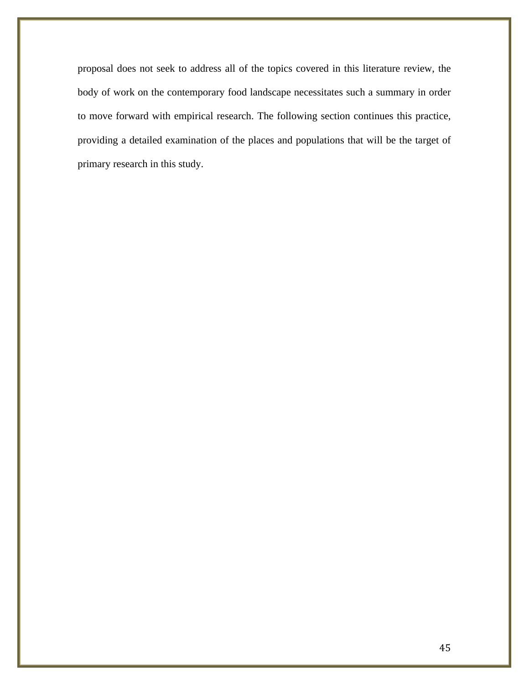proposal does not seek to address all of the topics covered in this literature review, the body of work on the contemporary food landscape necessitates such a summary in order to move forward with empirical research. The following section continues this practice, providing a detailed examination of the places and populations that will be the target of primary research in this study.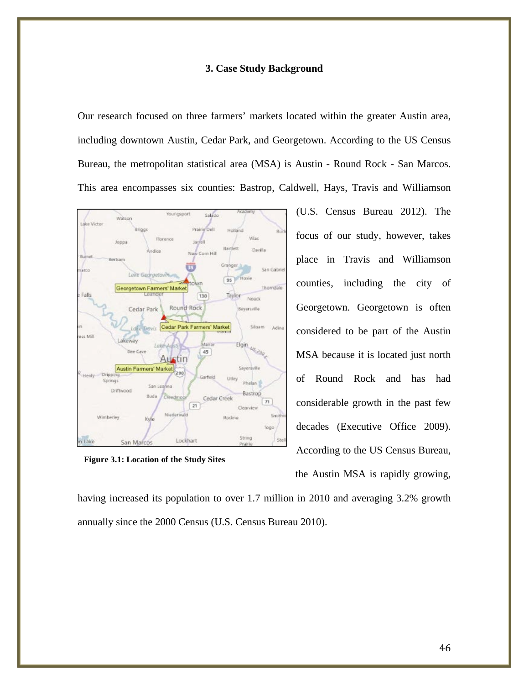## **3. Case Study Background**

Our research focused on three farmers' markets located within the greater Austin area, including downtown Austin, Cedar Park, and Georgetown. According to the US Census Bureau, the metropolitan statistical area (MSA) is Austin - Round Rock - San Marcos. This area encompasses six counties: Bastrop, Caldwell, Hays, Travis and Williamson



**Figure 3.1: Location of the Study Sites**

(U.S. Census Bureau 2012). The focus of our study, however, takes place in Travis and Williamson counties, including the city of Georgetown. Georgetown is often considered to be part of the Austin MSA because it is located just north of Round Rock and has had considerable growth in the past few decades (Executive Office 2009). According to the US Census Bureau, the Austin MSA is rapidly growing,

having increased its population to over 1.7 million in 2010 and averaging 3.2% growth annually since the 2000 Census (U.S. Census Bureau 2010).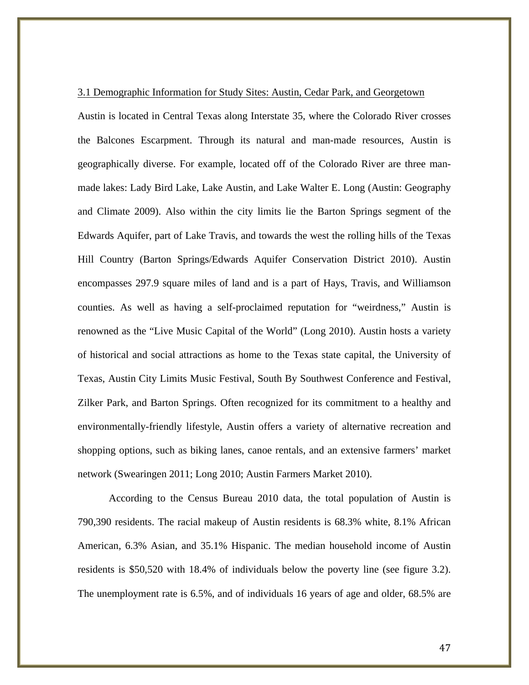## 3.1 Demographic Information for Study Sites: Austin, Cedar Park, and Georgetown

Austin is located in Central Texas along Interstate 35, where the Colorado River crosses the Balcones Escarpment. Through its natural and man-made resources, Austin is geographically diverse. For example, located off of the Colorado River are three manmade lakes: Lady Bird Lake, Lake Austin, and Lake Walter E. Long (Austin: Geography and Climate 2009). Also within the city limits lie the Barton Springs segment of the Edwards Aquifer, part of Lake Travis, and towards the west the rolling hills of the Texas Hill Country (Barton Springs/Edwards Aquifer Conservation District 2010). Austin encompasses 297.9 square miles of land and is a part of Hays, Travis, and Williamson counties. As well as having a self-proclaimed reputation for "weirdness," Austin is renowned as the "Live Music Capital of the World" (Long 2010). Austin hosts a variety of historical and social attractions as home to the Texas state capital, the University of Texas, Austin City Limits Music Festival, South By Southwest Conference and Festival, Zilker Park, and Barton Springs. Often recognized for its commitment to a healthy and environmentally-friendly lifestyle, Austin offers a variety of alternative recreation and shopping options, such as biking lanes, canoe rentals, and an extensive farmers' market network (Swearingen 2011; Long 2010; Austin Farmers Market 2010).

According to the Census Bureau 2010 data, the total population of Austin is 790,390 residents. The racial makeup of Austin residents is 68.3% white, 8.1% African American, 6.3% Asian, and 35.1% Hispanic. The median household income of Austin residents is \$50,520 with 18.4% of individuals below the poverty line (see figure 3.2). The unemployment rate is 6.5%, and of individuals 16 years of age and older, 68.5% are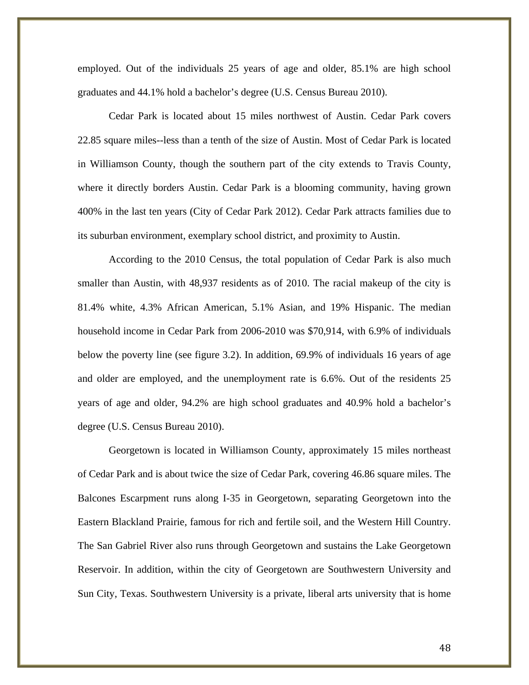employed. Out of the individuals 25 years of age and older, 85.1% are high school graduates and 44.1% hold a bachelor's degree (U.S. Census Bureau 2010).

Cedar Park is located about 15 miles northwest of Austin. Cedar Park covers 22.85 square miles--less than a tenth of the size of Austin. Most of Cedar Park is located in Williamson County, though the southern part of the city extends to Travis County, where it directly borders Austin. Cedar Park is a blooming community, having grown 400% in the last ten years (City of Cedar Park 2012). Cedar Park attracts families due to its suburban environment, exemplary school district, and proximity to Austin.

According to the 2010 Census, the total population of Cedar Park is also much smaller than Austin, with 48,937 residents as of 2010. The racial makeup of the city is 81.4% white, 4.3% African American, 5.1% Asian, and 19% Hispanic. The median household income in Cedar Park from 2006-2010 was \$70,914, with 6.9% of individuals below the poverty line (see figure 3.2). In addition, 69.9% of individuals 16 years of age and older are employed, and the unemployment rate is 6.6%. Out of the residents 25 years of age and older, 94.2% are high school graduates and 40.9% hold a bachelor's degree (U.S. Census Bureau 2010).

Georgetown is located in Williamson County, approximately 15 miles northeast of Cedar Park and is about twice the size of Cedar Park, covering 46.86 square miles. The Balcones Escarpment runs along I-35 in Georgetown, separating Georgetown into the Eastern Blackland Prairie, famous for rich and fertile soil, and the Western Hill Country. The San Gabriel River also runs through Georgetown and sustains the Lake Georgetown Reservoir. In addition, within the city of Georgetown are Southwestern University and Sun City, Texas. Southwestern University is a private, liberal arts university that is home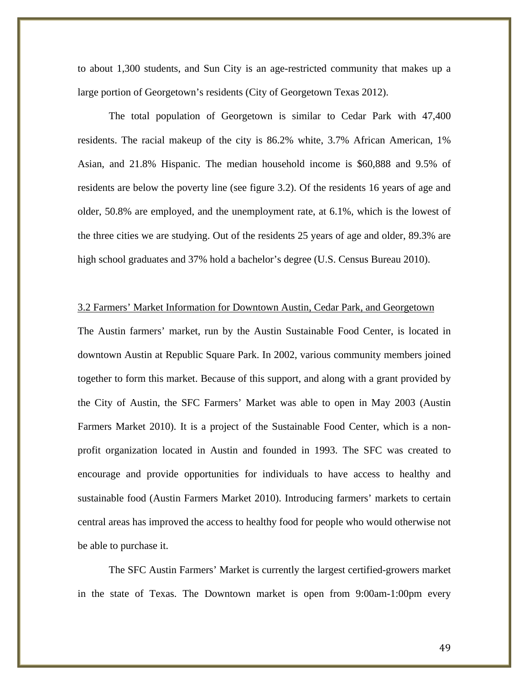to about 1,300 students, and Sun City is an age-restricted community that makes up a large portion of Georgetown's residents (City of Georgetown Texas 2012).

The total population of Georgetown is similar to Cedar Park with 47,400 residents. The racial makeup of the city is 86.2% white, 3.7% African American, 1% Asian, and 21.8% Hispanic. The median household income is \$60,888 and 9.5% of residents are below the poverty line (see figure 3.2). Of the residents 16 years of age and older, 50.8% are employed, and the unemployment rate, at 6.1%, which is the lowest of the three cities we are studying. Out of the residents 25 years of age and older, 89.3% are high school graduates and 37% hold a bachelor's degree (U.S. Census Bureau 2010).

## 3.2 Farmers' Market Information for Downtown Austin, Cedar Park, and Georgetown

The Austin farmers' market, run by the Austin Sustainable Food Center, is located in downtown Austin at Republic Square Park. In 2002, various community members joined together to form this market. Because of this support, and along with a grant provided by the City of Austin, the SFC Farmers' Market was able to open in May 2003 (Austin Farmers Market 2010). It is a project of the Sustainable Food Center, which is a nonprofit organization located in Austin and founded in 1993. The SFC was created to encourage and provide opportunities for individuals to have access to healthy and sustainable food (Austin Farmers Market 2010). Introducing farmers' markets to certain central areas has improved the access to healthy food for people who would otherwise not be able to purchase it.

The SFC Austin Farmers' Market is currently the largest certified-growers market in the state of Texas. The Downtown market is open from 9:00am-1:00pm every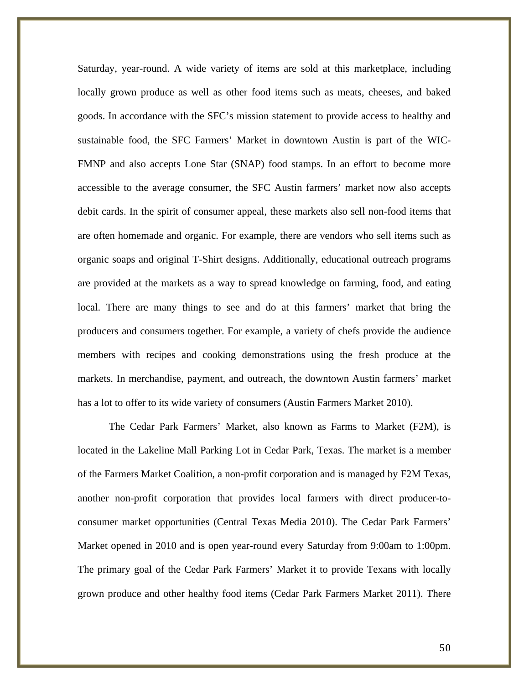Saturday, year-round. A wide variety of items are sold at this marketplace, including locally grown produce as well as other food items such as meats, cheeses, and baked goods. In accordance with the SFC's mission statement to provide access to healthy and sustainable food, the SFC Farmers' Market in downtown Austin is part of the WIC-FMNP and also accepts Lone Star (SNAP) food stamps. In an effort to become more accessible to the average consumer, the SFC Austin farmers' market now also accepts debit cards. In the spirit of consumer appeal, these markets also sell non-food items that are often homemade and organic. For example, there are vendors who sell items such as organic soaps and original T-Shirt designs. Additionally, educational outreach programs are provided at the markets as a way to spread knowledge on farming, food, and eating local. There are many things to see and do at this farmers' market that bring the producers and consumers together. For example, a variety of chefs provide the audience members with recipes and cooking demonstrations using the fresh produce at the markets. In merchandise, payment, and outreach, the downtown Austin farmers' market has a lot to offer to its wide variety of consumers (Austin Farmers Market 2010).

The Cedar Park Farmers' Market, also known as Farms to Market (F2M), is located in the Lakeline Mall Parking Lot in Cedar Park, Texas. The market is a member of the Farmers Market Coalition, a non-profit corporation and is managed by F2M Texas, another non-profit corporation that provides local farmers with direct producer-toconsumer market opportunities (Central Texas Media 2010). The Cedar Park Farmers' Market opened in 2010 and is open year-round every Saturday from 9:00am to 1:00pm. The primary goal of the Cedar Park Farmers' Market it to provide Texans with locally grown produce and other healthy food items (Cedar Park Farmers Market 2011). There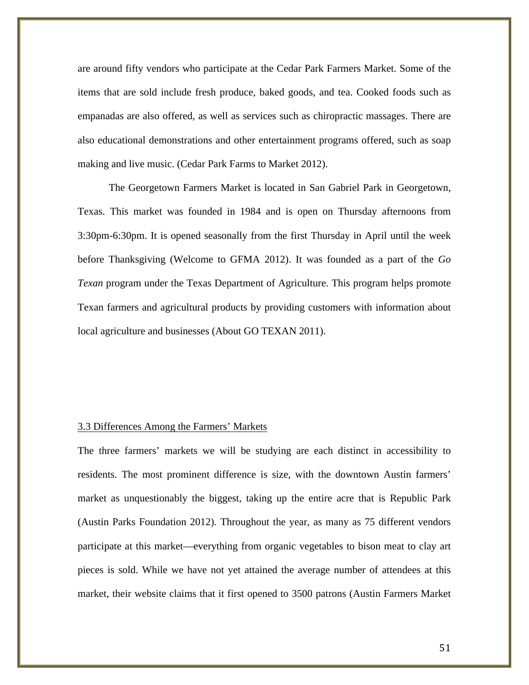are around fifty vendors who participate at the Cedar Park Farmers Market. Some of the items that are sold include fresh produce, baked goods, and tea. Cooked foods such as empanadas are also offered, as well as services such as chiropractic massages. There are also educational demonstrations and other entertainment programs offered, such as soap making and live music. (Cedar Park Farms to Market 2012).

The Georgetown Farmers Market is located in San Gabriel Park in Georgetown, Texas. This market was founded in 1984 and is open on Thursday afternoons from 3:30pm-6:30pm. It is opened seasonally from the first Thursday in April until the week before Thanksgiving (Welcome to GFMA 2012). It was founded as a part of the *Go Texan* program under the Texas Department of Agriculture. This program helps promote Texan farmers and agricultural products by providing customers with information about local agriculture and businesses (About GO TEXAN 2011).

## 3.3 Differences Among the Farmers' Markets

The three farmers' markets we will be studying are each distinct in accessibility to residents. The most prominent difference is size, with the downtown Austin farmers' market as unquestionably the biggest, taking up the entire acre that is Republic Park (Austin Parks Foundation 2012). Throughout the year, as many as 75 different vendors participate at this market—everything from organic vegetables to bison meat to clay art pieces is sold. While we have not yet attained the average number of attendees at this market, their website claims that it first opened to 3500 patrons (Austin Farmers Market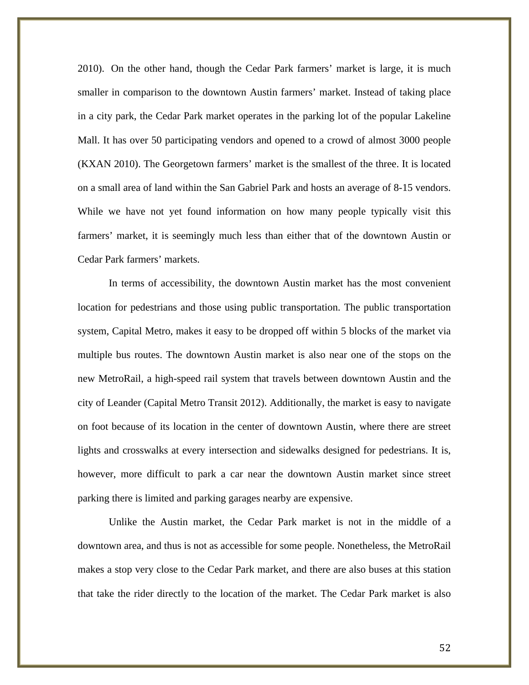2010). On the other hand, though the Cedar Park farmers' market is large, it is much smaller in comparison to the downtown Austin farmers' market. Instead of taking place in a city park, the Cedar Park market operates in the parking lot of the popular Lakeline Mall. It has over 50 participating vendors and opened to a crowd of almost 3000 people (KXAN 2010). The Georgetown farmers' market is the smallest of the three. It is located on a small area of land within the San Gabriel Park and hosts an average of 8-15 vendors. While we have not yet found information on how many people typically visit this farmers' market, it is seemingly much less than either that of the downtown Austin or Cedar Park farmers' markets.

In terms of accessibility, the downtown Austin market has the most convenient location for pedestrians and those using public transportation. The public transportation system, Capital Metro, makes it easy to be dropped off within 5 blocks of the market via multiple bus routes. The downtown Austin market is also near one of the stops on the new MetroRail, a high-speed rail system that travels between downtown Austin and the city of Leander (Capital Metro Transit 2012). Additionally, the market is easy to navigate on foot because of its location in the center of downtown Austin, where there are street lights and crosswalks at every intersection and sidewalks designed for pedestrians. It is, however, more difficult to park a car near the downtown Austin market since street parking there is limited and parking garages nearby are expensive.

Unlike the Austin market, the Cedar Park market is not in the middle of a downtown area, and thus is not as accessible for some people. Nonetheless, the MetroRail makes a stop very close to the Cedar Park market, and there are also buses at this station that take the rider directly to the location of the market. The Cedar Park market is also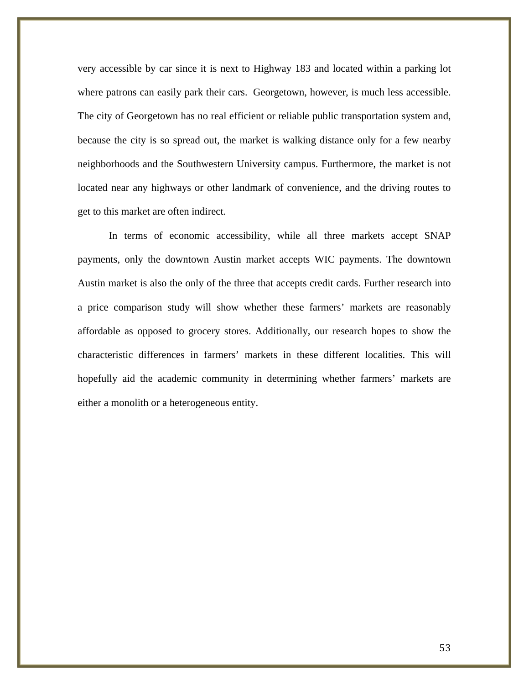very accessible by car since it is next to Highway 183 and located within a parking lot where patrons can easily park their cars. Georgetown, however, is much less accessible. The city of Georgetown has no real efficient or reliable public transportation system and, because the city is so spread out, the market is walking distance only for a few nearby neighborhoods and the Southwestern University campus. Furthermore, the market is not located near any highways or other landmark of convenience, and the driving routes to get to this market are often indirect.

In terms of economic accessibility, while all three markets accept SNAP payments, only the downtown Austin market accepts WIC payments. The downtown Austin market is also the only of the three that accepts credit cards. Further research into a price comparison study will show whether these farmers' markets are reasonably affordable as opposed to grocery stores. Additionally, our research hopes to show the characteristic differences in farmers' markets in these different localities. This will hopefully aid the academic community in determining whether farmers' markets are either a monolith or a heterogeneous entity.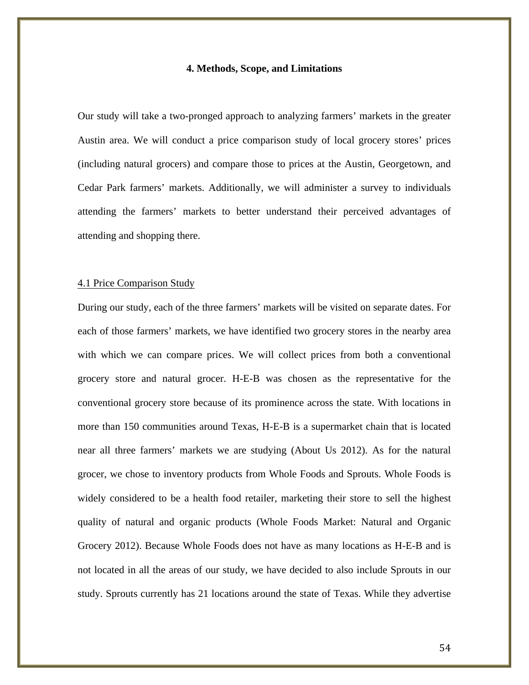#### **4. Methods, Scope, and Limitations**

Our study will take a two-pronged approach to analyzing farmers' markets in the greater Austin area. We will conduct a price comparison study of local grocery stores' prices (including natural grocers) and compare those to prices at the Austin, Georgetown, and Cedar Park farmers' markets. Additionally, we will administer a survey to individuals attending the farmers' markets to better understand their perceived advantages of attending and shopping there.

#### 4.1 Price Comparison Study

During our study, each of the three farmers' markets will be visited on separate dates. For each of those farmers' markets, we have identified two grocery stores in the nearby area with which we can compare prices. We will collect prices from both a conventional grocery store and natural grocer. H-E-B was chosen as the representative for the conventional grocery store because of its prominence across the state. With locations in more than 150 communities around Texas, H-E-B is a supermarket chain that is located near all three farmers' markets we are studying (About Us 2012). As for the natural grocer, we chose to inventory products from Whole Foods and Sprouts. Whole Foods is widely considered to be a health food retailer, marketing their store to sell the highest quality of natural and organic products (Whole Foods Market: Natural and Organic Grocery 2012). Because Whole Foods does not have as many locations as H-E-B and is not located in all the areas of our study, we have decided to also include Sprouts in our study. Sprouts currently has 21 locations around the state of Texas. While they advertise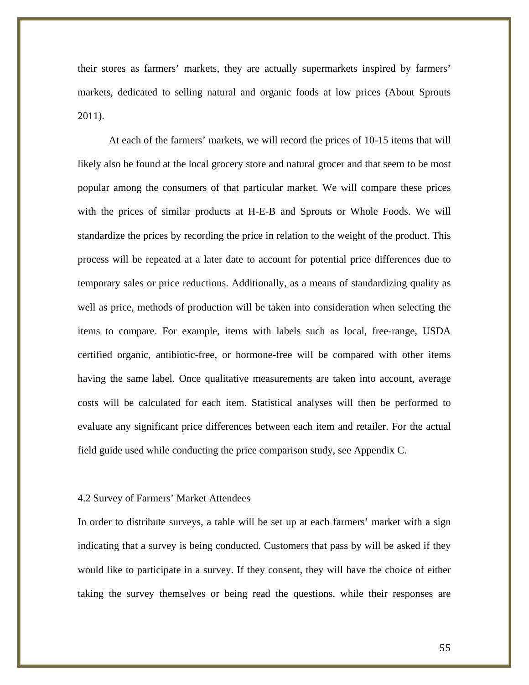their stores as farmers' markets, they are actually supermarkets inspired by farmers' markets, dedicated to selling natural and organic foods at low prices (About Sprouts 2011).

At each of the farmers' markets, we will record the prices of 10-15 items that will likely also be found at the local grocery store and natural grocer and that seem to be most popular among the consumers of that particular market. We will compare these prices with the prices of similar products at H-E-B and Sprouts or Whole Foods. We will standardize the prices by recording the price in relation to the weight of the product. This process will be repeated at a later date to account for potential price differences due to temporary sales or price reductions. Additionally, as a means of standardizing quality as well as price, methods of production will be taken into consideration when selecting the items to compare. For example, items with labels such as local, free-range, USDA certified organic, antibiotic-free, or hormone-free will be compared with other items having the same label. Once qualitative measurements are taken into account, average costs will be calculated for each item. Statistical analyses will then be performed to evaluate any significant price differences between each item and retailer. For the actual field guide used while conducting the price comparison study, see Appendix C.

#### 4.2 Survey of Farmers' Market Attendees

In order to distribute surveys, a table will be set up at each farmers' market with a sign indicating that a survey is being conducted. Customers that pass by will be asked if they would like to participate in a survey. If they consent, they will have the choice of either taking the survey themselves or being read the questions, while their responses are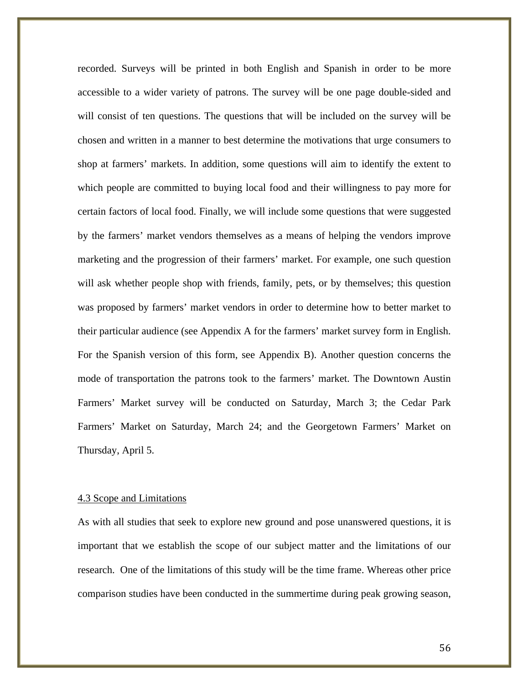recorded. Surveys will be printed in both English and Spanish in order to be more accessible to a wider variety of patrons. The survey will be one page double-sided and will consist of ten questions. The questions that will be included on the survey will be chosen and written in a manner to best determine the motivations that urge consumers to shop at farmers' markets. In addition, some questions will aim to identify the extent to which people are committed to buying local food and their willingness to pay more for certain factors of local food. Finally, we will include some questions that were suggested by the farmers' market vendors themselves as a means of helping the vendors improve marketing and the progression of their farmers' market. For example, one such question will ask whether people shop with friends, family, pets, or by themselves; this question was proposed by farmers' market vendors in order to determine how to better market to their particular audience (see Appendix A for the farmers' market survey form in English. For the Spanish version of this form, see Appendix B). Another question concerns the mode of transportation the patrons took to the farmers' market. The Downtown Austin Farmers' Market survey will be conducted on Saturday, March 3; the Cedar Park Farmers' Market on Saturday, March 24; and the Georgetown Farmers' Market on Thursday, April 5.

#### 4.3 Scope and Limitations

As with all studies that seek to explore new ground and pose unanswered questions, it is important that we establish the scope of our subject matter and the limitations of our research. One of the limitations of this study will be the time frame. Whereas other price comparison studies have been conducted in the summertime during peak growing season,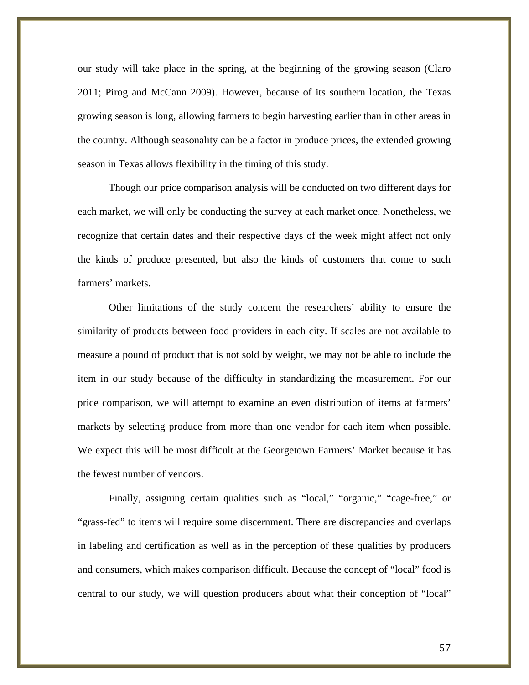our study will take place in the spring, at the beginning of the growing season (Claro 2011; Pirog and McCann 2009). However, because of its southern location, the Texas growing season is long, allowing farmers to begin harvesting earlier than in other areas in the country. Although seasonality can be a factor in produce prices, the extended growing season in Texas allows flexibility in the timing of this study.

Though our price comparison analysis will be conducted on two different days for each market, we will only be conducting the survey at each market once. Nonetheless, we recognize that certain dates and their respective days of the week might affect not only the kinds of produce presented, but also the kinds of customers that come to such farmers' markets.

Other limitations of the study concern the researchers' ability to ensure the similarity of products between food providers in each city. If scales are not available to measure a pound of product that is not sold by weight, we may not be able to include the item in our study because of the difficulty in standardizing the measurement. For our price comparison, we will attempt to examine an even distribution of items at farmers' markets by selecting produce from more than one vendor for each item when possible. We expect this will be most difficult at the Georgetown Farmers' Market because it has the fewest number of vendors.

Finally, assigning certain qualities such as "local," "organic," "cage-free," or "grass-fed" to items will require some discernment. There are discrepancies and overlaps in labeling and certification as well as in the perception of these qualities by producers and consumers, which makes comparison difficult. Because the concept of "local" food is central to our study, we will question producers about what their conception of "local"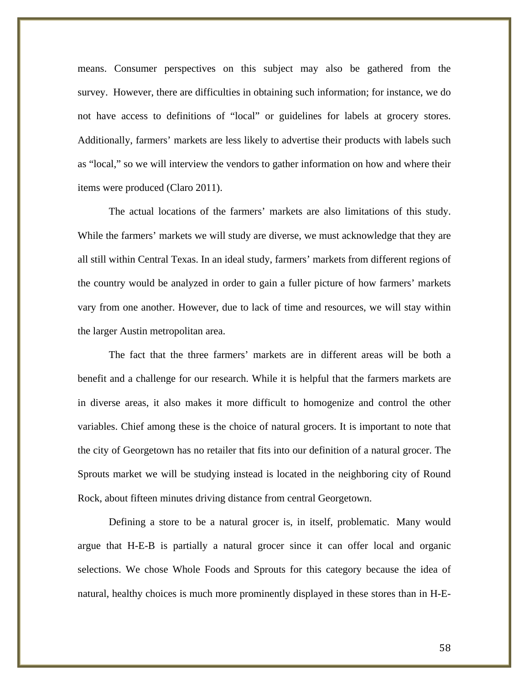means. Consumer perspectives on this subject may also be gathered from the survey. However, there are difficulties in obtaining such information; for instance, we do not have access to definitions of "local" or guidelines for labels at grocery stores. Additionally, farmers' markets are less likely to advertise their products with labels such as "local," so we will interview the vendors to gather information on how and where their items were produced (Claro 2011).

The actual locations of the farmers' markets are also limitations of this study. While the farmers' markets we will study are diverse, we must acknowledge that they are all still within Central Texas. In an ideal study, farmers' markets from different regions of the country would be analyzed in order to gain a fuller picture of how farmers' markets vary from one another. However, due to lack of time and resources, we will stay within the larger Austin metropolitan area.

The fact that the three farmers' markets are in different areas will be both a benefit and a challenge for our research. While it is helpful that the farmers markets are in diverse areas, it also makes it more difficult to homogenize and control the other variables. Chief among these is the choice of natural grocers. It is important to note that the city of Georgetown has no retailer that fits into our definition of a natural grocer. The Sprouts market we will be studying instead is located in the neighboring city of Round Rock, about fifteen minutes driving distance from central Georgetown.

Defining a store to be a natural grocer is, in itself, problematic. Many would argue that H-E-B is partially a natural grocer since it can offer local and organic selections. We chose Whole Foods and Sprouts for this category because the idea of natural, healthy choices is much more prominently displayed in these stores than in H-E-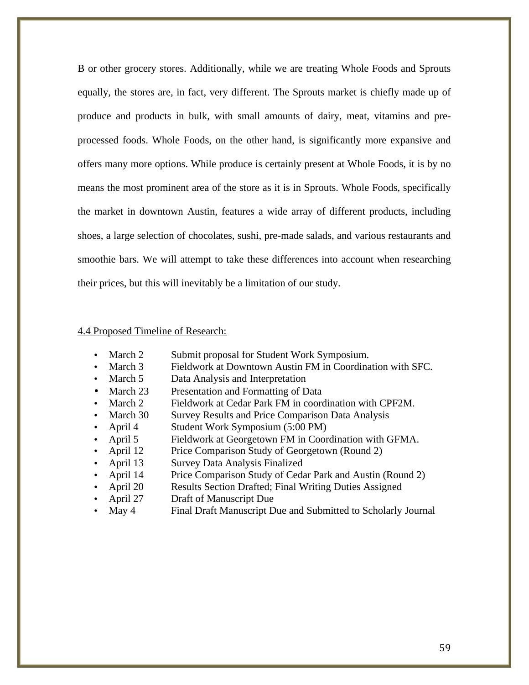B or other grocery stores. Additionally, while we are treating Whole Foods and Sprouts equally, the stores are, in fact, very different. The Sprouts market is chiefly made up of produce and products in bulk, with small amounts of dairy, meat, vitamins and preprocessed foods. Whole Foods, on the other hand, is significantly more expansive and offers many more options. While produce is certainly present at Whole Foods, it is by no means the most prominent area of the store as it is in Sprouts. Whole Foods, specifically the market in downtown Austin, features a wide array of different products, including shoes, a large selection of chocolates, sushi, pre-made salads, and various restaurants and smoothie bars. We will attempt to take these differences into account when researching their prices, but this will inevitably be a limitation of our study.

## 4.4 Proposed Timeline of Research:

- March 2 Submit proposal for Student Work Symposium.
- March 3 Fieldwork at Downtown Austin FM in Coordination with SFC.
- March 5 Data Analysis and Interpretation
- March 23 Presentation and Formatting of Data
- March 2 Fieldwork at Cedar Park FM in coordination with CPF2M.
- March 30 Survey Results and Price Comparison Data Analysis
- April 4 Student Work Symposium (5:00 PM)
- April 5 Fieldwork at Georgetown FM in Coordination with GFMA.
- April 12 Price Comparison Study of Georgetown (Round 2)
- April 13 Survey Data Analysis Finalized
- April 14 Price Comparison Study of Cedar Park and Austin (Round 2)
- April 20 Results Section Drafted; Final Writing Duties Assigned
- April 27 Draft of Manuscript Due
- May 4 Final Draft Manuscript Due and Submitted to Scholarly Journal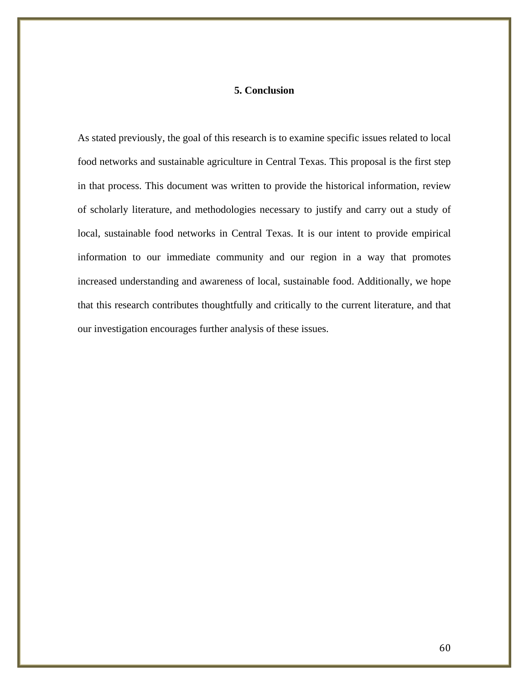## **5. Conclusion**

As stated previously, the goal of this research is to examine specific issues related to local food networks and sustainable agriculture in Central Texas. This proposal is the first step in that process. This document was written to provide the historical information, review of scholarly literature, and methodologies necessary to justify and carry out a study of local, sustainable food networks in Central Texas. It is our intent to provide empirical information to our immediate community and our region in a way that promotes increased understanding and awareness of local, sustainable food. Additionally, we hope that this research contributes thoughtfully and critically to the current literature, and that our investigation encourages further analysis of these issues.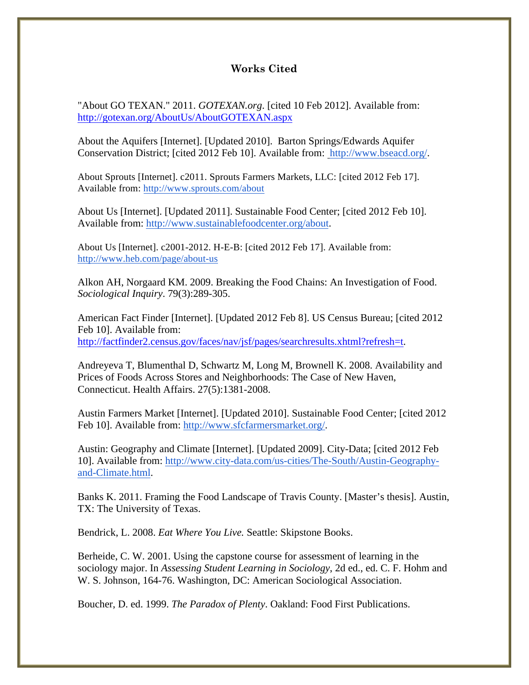# **Works Cited**

"About GO TEXAN." 2011. *GOTEXAN.org*. [cited 10 Feb 2012]. Available from: http://gotexan.org/AboutUs/AboutGOTEXAN.aspx

About the Aquifers [Internet]. [Updated 2010]. Barton Springs/Edwards Aquifer Conservation District; [cited 2012 Feb 10]. Available from: http://www.bseacd.org/.

About Sprouts [Internet]. c2011. Sprouts Farmers Markets, LLC: [cited 2012 Feb 17]. Available from: http://www.sprouts.com/about

About Us [Internet]. [Updated 2011]. Sustainable Food Center; [cited 2012 Feb 10]. Available from: http://www.sustainablefoodcenter.org/about.

About Us [Internet]. c2001-2012. H-E-B: [cited 2012 Feb 17]. Available from: http://www.heb.com/page/about-us

Alkon AH, Norgaard KM. 2009. Breaking the Food Chains: An Investigation of Food. *Sociological Inquiry*. 79(3):289-305.

American Fact Finder [Internet]. [Updated 2012 Feb 8]. US Census Bureau; [cited 2012 Feb 10]. Available from: http://factfinder2.census.gov/faces/nav/jsf/pages/searchresults.xhtml?refresh=t.

Andreyeva T, Blumenthal D, Schwartz M, Long M, Brownell K. 2008. Availability and Prices of Foods Across Stores and Neighborhoods: The Case of New Haven, Connecticut. Health Affairs. 27(5):1381-2008.

Austin Farmers Market [Internet]. [Updated 2010]. Sustainable Food Center; [cited 2012 Feb 10]. Available from: http://www.sfcfarmersmarket.org/.

Austin: Geography and Climate [Internet]. [Updated 2009]. City-Data; [cited 2012 Feb 10]. Available from: http://www.city-data.com/us-cities/The-South/Austin-Geographyand-Climate.html.

Banks K. 2011. Framing the Food Landscape of Travis County. [Master's thesis]. Austin, TX: The University of Texas.

Bendrick, L. 2008. *Eat Where You Live.* Seattle: Skipstone Books.

Berheide, C. W. 2001. Using the capstone course for assessment of learning in the sociology major. In *Assessing Student Learning in Sociology*, 2d ed., ed. C. F. Hohm and W. S. Johnson, 164-76. Washington, DC: American Sociological Association.

Boucher, D. ed. 1999. *The Paradox of Plenty*. Oakland: Food First Publications.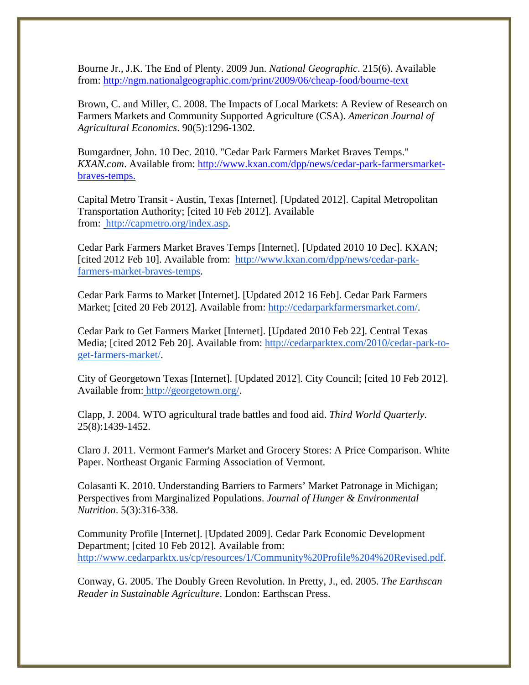Bourne Jr., J.K. The End of Plenty. 2009 Jun. *National Geographic*. 215(6). Available from: http://ngm.nationalgeographic.com/print/2009/06/cheap-food/bourne-text

Brown, C. and Miller, C. 2008. The Impacts of Local Markets: A Review of Research on Farmers Markets and Community Supported Agriculture (CSA). *American Journal of Agricultural Economics*. 90(5):1296-1302.

Bumgardner, John. 10 Dec. 2010. "Cedar Park Farmers Market Braves Temps." *KXAN.com*. Available from: http://www.kxan.com/dpp/news/cedar-park-farmersmarketbraves-temps.

Capital Metro Transit - Austin, Texas [Internet]. [Updated 2012]. Capital Metropolitan Transportation Authority; [cited 10 Feb 2012]. Available from: http://capmetro.org/index.asp.

Cedar Park Farmers Market Braves Temps [Internet]. [Updated 2010 10 Dec]. KXAN; [cited 2012 Feb 10]. Available from: http://www.kxan.com/dpp/news/cedar-parkfarmers-market-braves-temps.

Cedar Park Farms to Market [Internet]. [Updated 2012 16 Feb]. Cedar Park Farmers Market; [cited 20 Feb 2012]. Available from: http://cedarparkfarmersmarket.com/.

Cedar Park to Get Farmers Market [Internet]. [Updated 2010 Feb 22]. Central Texas Media; [cited 2012 Feb 20]. Available from: http://cedarparktex.com/2010/cedar-park-toget-farmers-market/.

City of Georgetown Texas [Internet]. [Updated 2012]. City Council; [cited 10 Feb 2012]. Available from: http://georgetown.org/.

Clapp, J. 2004. WTO agricultural trade battles and food aid. *Third World Quarterly*. 25(8):1439-1452.

Claro J. 2011. Vermont Farmer's Market and Grocery Stores: A Price Comparison. White Paper. Northeast Organic Farming Association of Vermont.

Colasanti K. 2010. Understanding Barriers to Farmers' Market Patronage in Michigan; Perspectives from Marginalized Populations. *Journal of Hunger & Environmental Nutrition*. 5(3):316-338.

Community Profile [Internet]. [Updated 2009]. Cedar Park Economic Development Department; [cited 10 Feb 2012]. Available from: http://www.cedarparktx.us/cp/resources/1/Community%20Profile%204%20Revised.pdf.

Conway, G. 2005. The Doubly Green Revolution. In Pretty, J., ed. 2005. *The Earthscan Reader in Sustainable Agriculture*. London: Earthscan Press.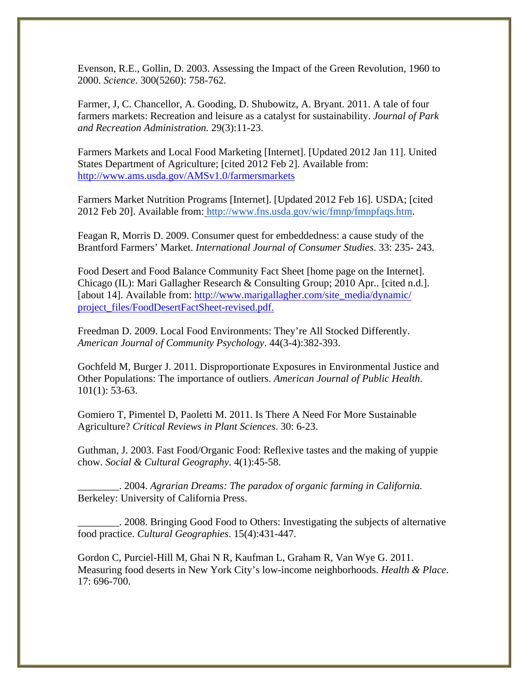Evenson, R.E., Gollin, D. 2003. Assessing the Impact of the Green Revolution, 1960 to 2000. *Science*. 300(5260): 758-762.

Farmer, J, C. Chancellor, A. Gooding, D. Shubowitz, A. Bryant. 2011. A tale of four farmers markets: Recreation and leisure as a catalyst for sustainability. *Journal of Park and Recreation Administration.* 29(3):11-23.

Farmers Markets and Local Food Marketing [Internet]. [Updated 2012 Jan 11]. United States Department of Agriculture; [cited 2012 Feb 2]. Available from: http://www.ams.usda.gov/AMSv1.0/farmersmarkets

Farmers Market Nutrition Programs [Internet]. [Updated 2012 Feb 16]. USDA; [cited 2012 Feb 20]. Available from: http://www.fns.usda.gov/wic/fmnp/fmnpfaqs.htm.

Feagan R, Morris D. 2009. Consumer quest for embeddedness: a cause study of the Brantford Farmers' Market. *International Journal of Consumer Studies*. 33: 235- 243.

Food Desert and Food Balance Community Fact Sheet [home page on the Internet]. Chicago (IL): Mari Gallagher Research & Consulting Group; 2010 Apr.. [cited n.d.]. [about 14]. Available from: http://www.marigallagher.com/site\_media/dynamic/ project\_files/FoodDesertFactSheet-revised.pdf.

Freedman D. 2009. Local Food Environments: They're All Stocked Differently. *American Journal of Community Psychology*. 44(3-4):382-393.

Gochfeld M, Burger J. 2011. Disproportionate Exposures in Environmental Justice and Other Populations: The importance of outliers. *American Journal of Public Health*. 101(1): 53-63.

Gomiero T, Pimentel D, Paoletti M. 2011. Is There A Need For More Sustainable Agriculture? *Critical Reviews in Plant Sciences*. 30: 6-23.

Guthman, J. 2003. Fast Food/Organic Food: Reflexive tastes and the making of yuppie chow. *Social & Cultural Geography*. 4(1):45-58.

\_\_\_\_\_\_\_\_. 2004. *Agrarian Dreams: The paradox of organic farming in California.* Berkeley: University of California Press.

\_\_\_\_\_\_\_\_. 2008. Bringing Good Food to Others: Investigating the subjects of alternative food practice. *Cultural Geographies*. 15(4):431-447.

Gordon C, Purciel-Hill M, Ghai N R, Kaufman L, Graham R, Van Wye G. 2011. Measuring food deserts in New York City's low-income neighborhoods. *Health & Place*. 17: 696-700.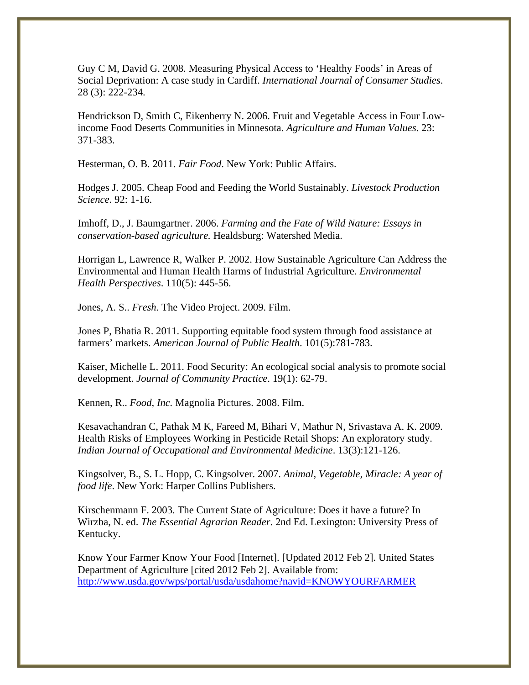Guy C M, David G. 2008. Measuring Physical Access to 'Healthy Foods' in Areas of Social Deprivation: A case study in Cardiff. *International Journal of Consumer Studies*. 28 (3): 222-234.

Hendrickson D, Smith C, Eikenberry N. 2006. Fruit and Vegetable Access in Four Lowincome Food Deserts Communities in Minnesota. *Agriculture and Human Values*. 23: 371-383.

Hesterman, O. B. 2011. *Fair Food*. New York: Public Affairs.

Hodges J. 2005. Cheap Food and Feeding the World Sustainably. *Livestock Production Science*. 92: 1-16.

Imhoff, D., J. Baumgartner. 2006. *Farming and the Fate of Wild Nature: Essays in conservation-based agriculture.* Healdsburg: Watershed Media.

Horrigan L, Lawrence R, Walker P. 2002. How Sustainable Agriculture Can Address the Environmental and Human Health Harms of Industrial Agriculture. *Environmental Health Perspectives*. 110(5): 445-56.

Jones, A. S.. *Fresh.* The Video Project. 2009. Film.

Jones P, Bhatia R. 2011. Supporting equitable food system through food assistance at farmers' markets. *American Journal of Public Health*. 101(5):781-783.

Kaiser, Michelle L. 2011. Food Security: An ecological social analysis to promote social development. *Journal of Community Practice*. 19(1): 62-79.

Kennen, R.. *Food, Inc.* Magnolia Pictures. 2008. Film.

Kesavachandran C, Pathak M K, Fareed M, Bihari V, Mathur N, Srivastava A. K. 2009. Health Risks of Employees Working in Pesticide Retail Shops: An exploratory study. *Indian Journal of Occupational and Environmental Medicine*. 13(3):121-126.

Kingsolver, B., S. L. Hopp, C. Kingsolver. 2007. *Animal, Vegetable, Miracle: A year of food life*. New York: Harper Collins Publishers.

Kirschenmann F. 2003. The Current State of Agriculture: Does it have a future? In Wirzba, N. ed. *The Essential Agrarian Reader*. 2nd Ed. Lexington: University Press of Kentucky.

Know Your Farmer Know Your Food [Internet]. [Updated 2012 Feb 2]. United States Department of Agriculture [cited 2012 Feb 2]. Available from: http://www.usda.gov/wps/portal/usda/usdahome?navid=KNOWYOURFARMER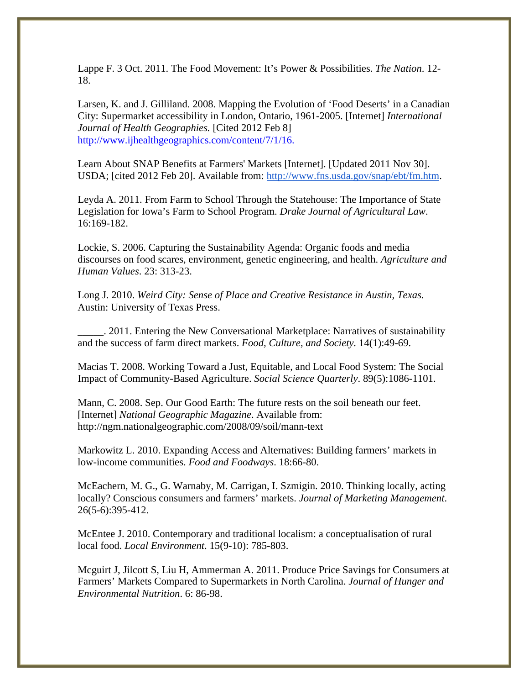Lappe F. 3 Oct. 2011. The Food Movement: It's Power & Possibilities. *The Nation*. 12- 18.

Larsen, K. and J. Gilliland. 2008. Mapping the Evolution of 'Food Deserts' in a Canadian City: Supermarket accessibility in London, Ontario, 1961-2005. [Internet] *International Journal of Health Geographies.* [Cited 2012 Feb 8] http://www.ijhealthgeographics.com/content/7/1/16.

Learn About SNAP Benefits at Farmers' Markets [Internet]. [Updated 2011 Nov 30]. USDA; [cited 2012 Feb 20]. Available from: http://www.fns.usda.gov/snap/ebt/fm.htm.

Leyda A. 2011. From Farm to School Through the Statehouse: The Importance of State Legislation for Iowa's Farm to School Program. *Drake Journal of Agricultural Law*. 16:169-182.

Lockie, S. 2006. Capturing the Sustainability Agenda: Organic foods and media discourses on food scares, environment, genetic engineering, and health. *Agriculture and Human Values*. 23: 313-23.

Long J. 2010. *Weird City: Sense of Place and Creative Resistance in Austin, Texas.* Austin: University of Texas Press.

\_\_\_\_\_. 2011. Entering the New Conversational Marketplace: Narratives of sustainability and the success of farm direct markets. *Food, Culture, and Society.* 14(1):49-69.

Macias T. 2008. Working Toward a Just, Equitable, and Local Food System: The Social Impact of Community-Based Agriculture. *Social Science Quarterly*. 89(5):1086-1101.

Mann, C. 2008. Sep. Our Good Earth: The future rests on the soil beneath our feet. [Internet] *National Geographic Magazine*. Available from: http://ngm.nationalgeographic.com/2008/09/soil/mann-text

Markowitz L. 2010. Expanding Access and Alternatives: Building farmers' markets in low-income communities. *Food and Foodways*. 18:66-80.

McEachern, M. G., G. Warnaby, M. Carrigan, I. Szmigin. 2010. Thinking locally, acting locally? Conscious consumers and farmers' markets. *Journal of Marketing Management*. 26(5-6):395-412.

McEntee J. 2010. Contemporary and traditional localism: a conceptualisation of rural local food. *Local Environment*. 15(9-10): 785-803.

Mcguirt J, Jilcott S, Liu H, Ammerman A. 2011. Produce Price Savings for Consumers at Farmers' Markets Compared to Supermarkets in North Carolina. *Journal of Hunger and Environmental Nutrition*. 6: 86-98.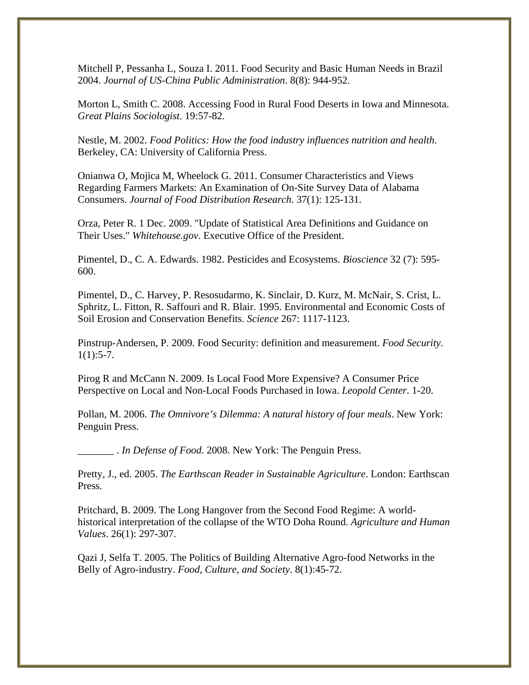Mitchell P, Pessanha L, Souza I. 2011. Food Security and Basic Human Needs in Brazil 2004. *Journal of US-China Public Administration*. 8(8): 944-952.

Morton L, Smith C. 2008. Accessing Food in Rural Food Deserts in Iowa and Minnesota. *Great Plains Sociologist*. 19:57-82.

Nestle, M. 2002. *Food Politics: How the food industry influences nutrition and health*. Berkeley, CA: University of California Press.

Onianwa O, Mojica M, Wheelock G. 2011. Consumer Characteristics and Views Regarding Farmers Markets: An Examination of On-Site Survey Data of Alabama Consumers. *Journal of Food Distribution Research*. 37(1): 125-131.

Orza, Peter R. 1 Dec. 2009. "Update of Statistical Area Definitions and Guidance on Their Uses." *Whitehouse.gov*. Executive Office of the President.

Pimentel, D., C. A. Edwards. 1982. Pesticides and Ecosystems. *Bioscience* 32 (7): 595- 600.

Pimentel, D., C. Harvey, P. Resosudarmo, K. Sinclair, D. Kurz, M. McNair, S. Crist, L. Sphritz, L. Fitton, R. Saffouri and R. Blair. 1995. Environmental and Economic Costs of Soil Erosion and Conservation Benefits. *Science* 267: 1117-1123.

Pinstrup-Andersen, P. 2009. Food Security: definition and measurement. *Food Security*.  $1(1):$ 5-7.

Pirog R and McCann N. 2009. Is Local Food More Expensive? A Consumer Price Perspective on Local and Non-Local Foods Purchased in Iowa. *Leopold Center*. 1-20.

Pollan, M. 2006. *The Omnivore's Dilemma: A natural history of four meals*. New York: Penguin Press.

\_\_\_\_\_\_\_ . *In Defense of Food*. 2008. New York: The Penguin Press.

Pretty, J., ed. 2005. *The Earthscan Reader in Sustainable Agriculture*. London: Earthscan Press.

Pritchard, B. 2009. The Long Hangover from the Second Food Regime: A worldhistorical interpretation of the collapse of the WTO Doha Round. *Agriculture and Human Values*. 26(1): 297-307.

Qazi J, Selfa T. 2005. The Politics of Building Alternative Agro-food Networks in the Belly of Agro-industry. *Food, Culture, and Society*. 8(1):45-72.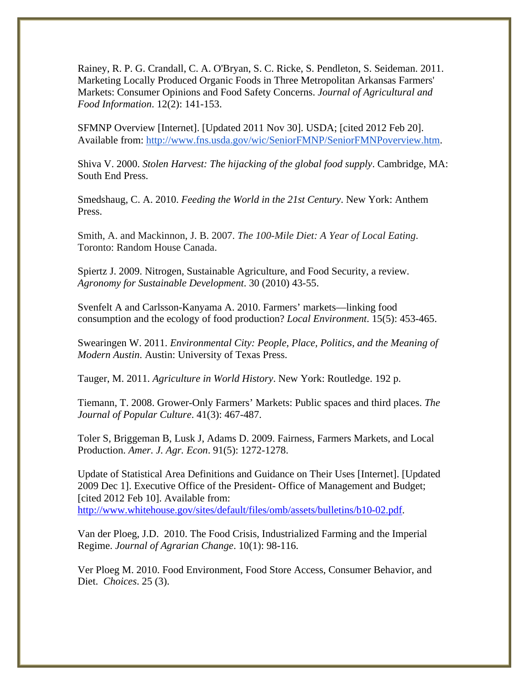Rainey, R. P. G. Crandall, C. A. O'Bryan, S. C. Ricke, S. Pendleton, S. Seideman. 2011. Marketing Locally Produced Organic Foods in Three Metropolitan Arkansas Farmers' Markets: Consumer Opinions and Food Safety Concerns. *Journal of Agricultural and Food Information*. 12(2): 141-153.

SFMNP Overview [Internet]. [Updated 2011 Nov 30]. USDA; [cited 2012 Feb 20]. Available from: http://www.fns.usda.gov/wic/SeniorFMNP/SeniorFMNPoverview.htm.

Shiva V. 2000. *Stolen Harvest: The hijacking of the global food supply*. Cambridge, MA: South End Press.

Smedshaug, C. A. 2010. *Feeding the World in the 21st Century*. New York: Anthem Press.

Smith, A. and Mackinnon, J. B. 2007. *The 100-Mile Diet: A Year of Local Eating*. Toronto: Random House Canada.

Spiertz J. 2009. Nitrogen, Sustainable Agriculture, and Food Security, a review. *Agronomy for Sustainable Development*. 30 (2010) 43-55.

Svenfelt A and Carlsson-Kanyama A. 2010. Farmers' markets—linking food consumption and the ecology of food production? *Local Environment*. 15(5): 453-465.

Swearingen W. 2011. *Environmental City: People, Place, Politics, and the Meaning of Modern Austin*. Austin: University of Texas Press.

Tauger, M. 2011. *Agriculture in World History*. New York: Routledge. 192 p.

Tiemann, T. 2008. Grower-Only Farmers' Markets: Public spaces and third places. *The Journal of Popular Culture*. 41(3): 467-487.

Toler S, Briggeman B, Lusk J, Adams D. 2009. Fairness, Farmers Markets, and Local Production. *Amer. J. Agr. Econ*. 91(5): 1272-1278.

Update of Statistical Area Definitions and Guidance on Their Uses [Internet]. [Updated 2009 Dec 1]. Executive Office of the President- Office of Management and Budget; [cited 2012 Feb 10]. Available from: http://www.whitehouse.gov/sites/default/files/omb/assets/bulletins/b10-02.pdf.

Van der Ploeg, J.D. 2010. The Food Crisis, Industrialized Farming and the Imperial Regime. *Journal of Agrarian Change*. 10(1): 98-116.

Ver Ploeg M. 2010. Food Environment, Food Store Access, Consumer Behavior, and Diet. *Choices*. 25 (3).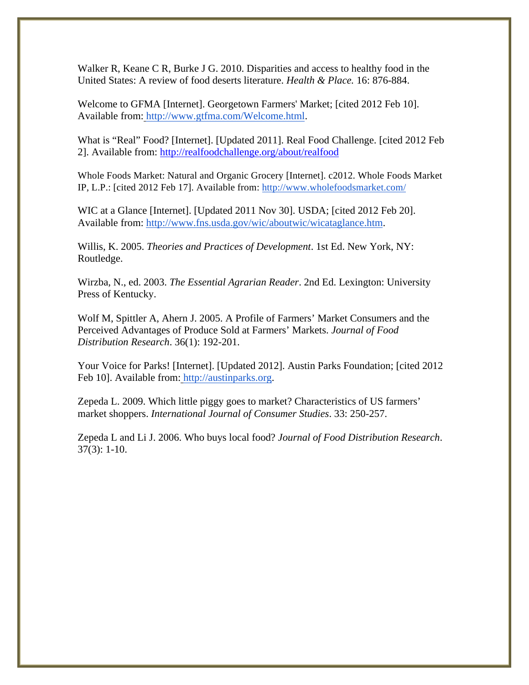Walker R, Keane C R, Burke J G. 2010. Disparities and access to healthy food in the United States: A review of food deserts literature. *Health & Place.* 16: 876-884.

Welcome to GFMA [Internet]. Georgetown Farmers' Market; [cited 2012 Feb 10]. Available from: http://www.gtfma.com/Welcome.html.

What is "Real" Food? [Internet]. [Updated 2011]. Real Food Challenge. [cited 2012 Feb 2]. Available from: http://realfoodchallenge.org/about/realfood

Whole Foods Market: Natural and Organic Grocery [Internet]. c2012. Whole Foods Market IP, L.P.: [cited 2012 Feb 17]. Available from: http://www.wholefoodsmarket.com/

WIC at a Glance [Internet]. [Updated 2011 Nov 30]. USDA; [cited 2012 Feb 20]. Available from: http://www.fns.usda.gov/wic/aboutwic/wicataglance.htm.

Willis, K. 2005. *Theories and Practices of Development*. 1st Ed. New York, NY: Routledge.

Wirzba, N., ed. 2003. *The Essential Agrarian Reader*. 2nd Ed. Lexington: University Press of Kentucky.

Wolf M, Spittler A, Ahern J. 2005. A Profile of Farmers' Market Consumers and the Perceived Advantages of Produce Sold at Farmers' Markets. *Journal of Food Distribution Research*. 36(1): 192-201.

Your Voice for Parks! [Internet]. [Updated 2012]. Austin Parks Foundation; [cited 2012 Feb 10]. Available from: http://austinparks.org.

Zepeda L. 2009. Which little piggy goes to market? Characteristics of US farmers' market shoppers. *International Journal of Consumer Studies*. 33: 250-257.

Zepeda L and Li J. 2006. Who buys local food? *Journal of Food Distribution Research*. 37(3): 1-10.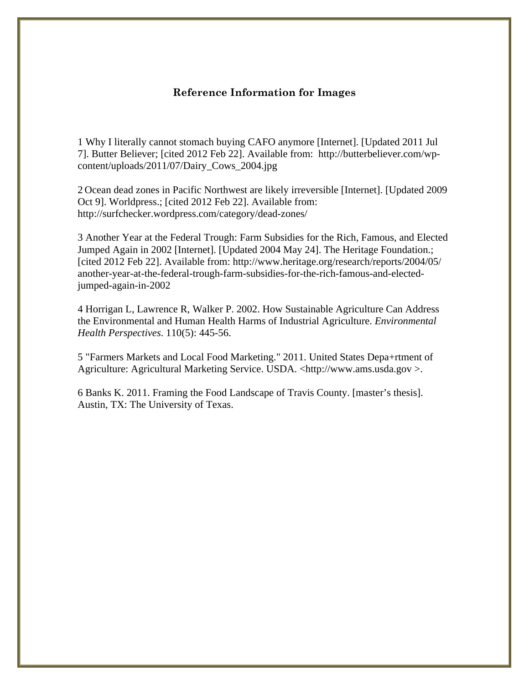#### **Reference Information for Images**

1 Why I literally cannot stomach buying CAFO anymore [Internet]. [Updated 2011 Jul 7]. Butter Believer; [cited 2012 Feb 22]. Available from: http://butterbeliever.com/wpcontent/uploads/2011/07/Dairy\_Cows\_2004.jpg

2 Ocean dead zones in Pacific Northwest are likely irreversible [Internet]. [Updated 2009 Oct 9]. Worldpress.; [cited 2012 Feb 22]. Available from: http://surfchecker.wordpress.com/category/dead-zones/

3 Another Year at the Federal Trough: Farm Subsidies for the Rich, Famous, and Elected Jumped Again in 2002 [Internet]. [Updated 2004 May 24]. The Heritage Foundation.; [cited 2012 Feb 22]. Available from: http://www.heritage.org/research/reports/2004/05/ another-year-at-the-federal-trough-farm-subsidies-for-the-rich-famous-and-electedjumped-again-in-2002

4 Horrigan L, Lawrence R, Walker P. 2002. How Sustainable Agriculture Can Address the Environmental and Human Health Harms of Industrial Agriculture. *Environmental Health Perspectives*. 110(5): 445-56.

5 "Farmers Markets and Local Food Marketing." 2011. United States Depa+rtment of Agriculture: Agricultural Marketing Service. USDA. <http://www.ams.usda.gov >.

6 Banks K. 2011. Framing the Food Landscape of Travis County. [master's thesis]. Austin, TX: The University of Texas.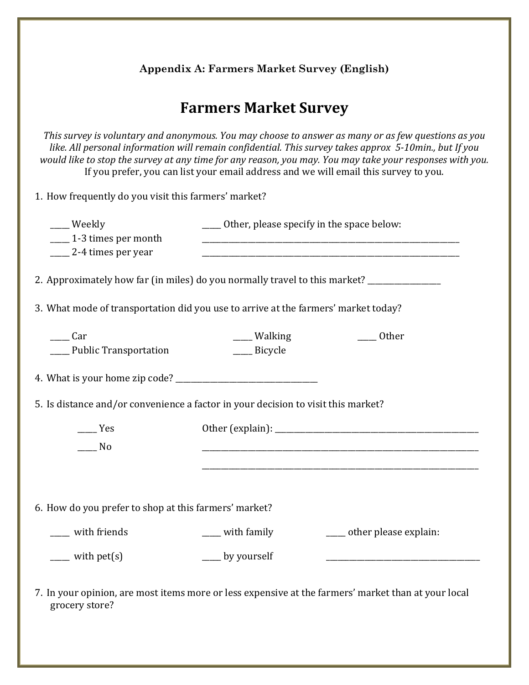**Appendix A: Farmers Market Survey (English)**

# **Farmers Market Survey**

This survey is voluntary and anonymous. You may choose to answer as many or as few questions as you *like. All personal information will remain confidential. This survey takes approx 5-10min., but If you* would like to stop the survey at any time for any reason, you may. You may take your responses with you. If you prefer, you can list your email address and we will email this survey to you.

1. How frequently do you visit this farmers' market?

|                                                                                   | ___ Weekly<br>1-3 times per month<br>2-4 times per year<br>2. Approximately how far (in miles) do you normally travel to this market? ____________ | _____ Other, please specify in the space below: |                                                                                                     |  |
|-----------------------------------------------------------------------------------|----------------------------------------------------------------------------------------------------------------------------------------------------|-------------------------------------------------|-----------------------------------------------------------------------------------------------------|--|
|                                                                                   | 3. What mode of transportation did you use to arrive at the farmers' market today?                                                                 |                                                 |                                                                                                     |  |
|                                                                                   | Car<br>__ Public Transportation                                                                                                                    | ___ Walking<br>____ Bicycle                     | Other                                                                                               |  |
|                                                                                   |                                                                                                                                                    |                                                 |                                                                                                     |  |
| 5. Is distance and/or convenience a factor in your decision to visit this market? |                                                                                                                                                    |                                                 |                                                                                                     |  |
|                                                                                   | Yes<br>N <sub>0</sub>                                                                                                                              |                                                 |                                                                                                     |  |
|                                                                                   | 6. How do you prefer to shop at this farmers' market?                                                                                              |                                                 |                                                                                                     |  |
|                                                                                   | __ with friends                                                                                                                                    | ___ with family                                 | ____ other please explain:                                                                          |  |
|                                                                                   | $\frac{1}{2}$ with pet(s)                                                                                                                          | __ by yourself                                  |                                                                                                     |  |
|                                                                                   | grocery store?                                                                                                                                     |                                                 | 7. In your opinion, are most items more or less expensive at the farmers' market than at your local |  |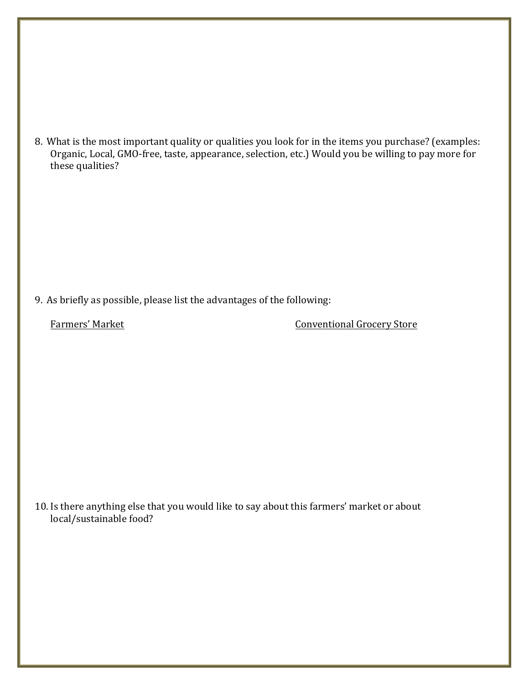8. What is the most important quality or qualities you look for in the items you purchase? (examples: Organic, Local, GMO-free, taste, appearance, selection, etc.) Would you be willing to pay more for these qualities?

9. As briefly as possible, please list the advantages of the following:

Farmers' Market Conventional Grocery Store

10. Is there anything else that you would like to say about this farmers' market or about local/sustainable food?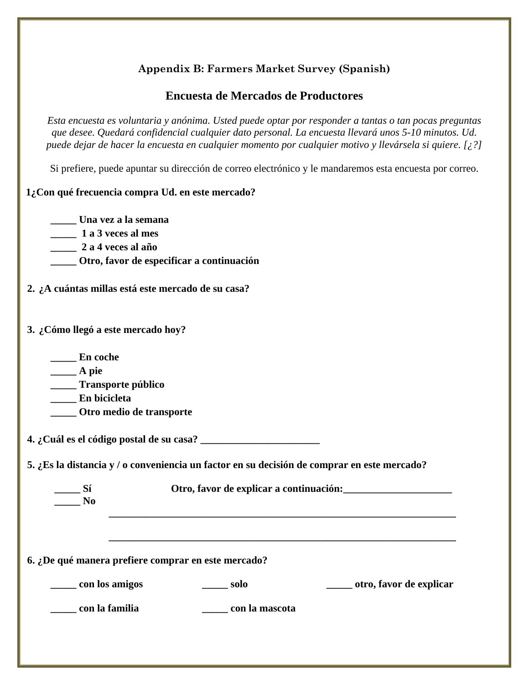# **Appendix B: Farmers Market Survey (Spanish)**

# **Encuesta de Mercados de Productores**

*Esta encuesta es voluntaria y anónima. Usted puede optar por responder a tantas o tan pocas preguntas que desee. Quedará confidencial cualquier dato personal. La encuesta llevará unos 5-10 minutos. Ud. puede dejar de hacer la encuesta en cualquier momento por cualquier motivo y llevársela si quiere. [¿?]*

Si prefiere, puede apuntar su dirección de correo electrónico y le mandaremos esta encuesta por correo.

#### **1¿Con qué frecuencia compra Ud. en este mercado?**

**\_\_\_\_\_ Una vez a la semana**

**\_\_\_\_\_ 1 a 3 veces al mes**

**\_\_\_\_\_ 2 a 4 veces al año**

**\_\_\_\_\_ Otro, favor de especificar a continuación**

- **2. ¿A cuántas millas está este mercado de su casa?**
- **3. ¿Cómo llegó a este mercado hoy?**
	- **\_\_\_\_\_ En coche**
	- **\_\_\_\_\_ A pie**
	- **\_\_\_\_\_ Transporte público**
	- **\_\_\_\_\_ En bicicleta**
	- **\_\_\_\_\_ Otro medio de transporte**

**4. ¿Cuál es el código postal de su casa? \_\_\_\_\_\_\_\_\_\_\_\_\_\_\_\_\_\_\_\_\_\_\_**

**5. ¿Es la distancia y / o conveniencia un factor en su decisión de comprar en este mercado?**

|    | Otro, favor de explicar a continuación: |
|----|-----------------------------------------|
| No |                                         |
|    |                                         |

**\_\_\_\_\_\_\_\_\_\_\_\_\_\_\_\_\_\_\_\_\_\_\_\_\_\_\_\_\_\_\_\_\_\_\_\_\_\_\_\_\_\_\_\_\_\_\_\_\_\_\_\_\_\_\_\_\_\_\_\_\_\_\_\_\_\_\_**

#### **6. ¿De qué manera prefiere comprar en este mercado?**

**\_\_\_\_\_ con los amigos \_\_\_\_\_ solo \_\_\_\_\_ otro, favor de explicar**

**\_\_\_\_\_ con la familia \_\_\_\_\_ con la mascota**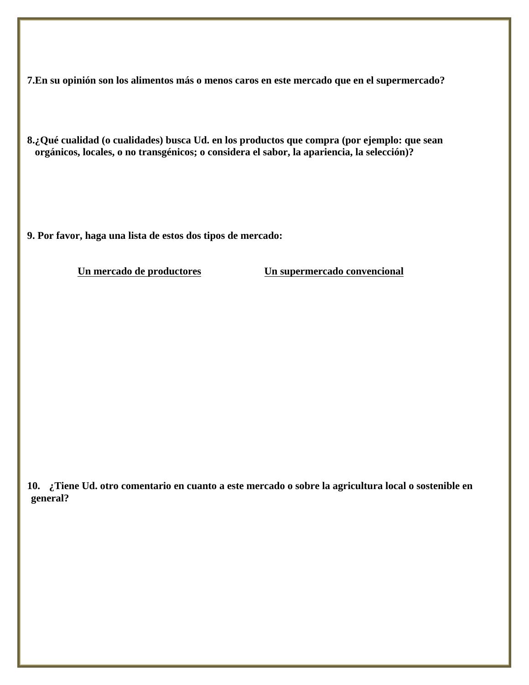**7.En su opinión son los alimentos más o menos caros en este mercado que en el supermercado?** 

**8.¿Qué cualidad (o cualidades) busca Ud. en los productos que compra (por ejemplo: que sean orgánicos, locales, o no transgénicos; o considera el sabor, la apariencia, la selección)?**

**9. Por favor, haga una lista de estos dos tipos de mercado:**

**Un mercado de productores Un supermercado convencional**

**10. ¿Tiene Ud. otro comentario en cuanto a este mercado o sobre la agricultura local o sostenible en general?**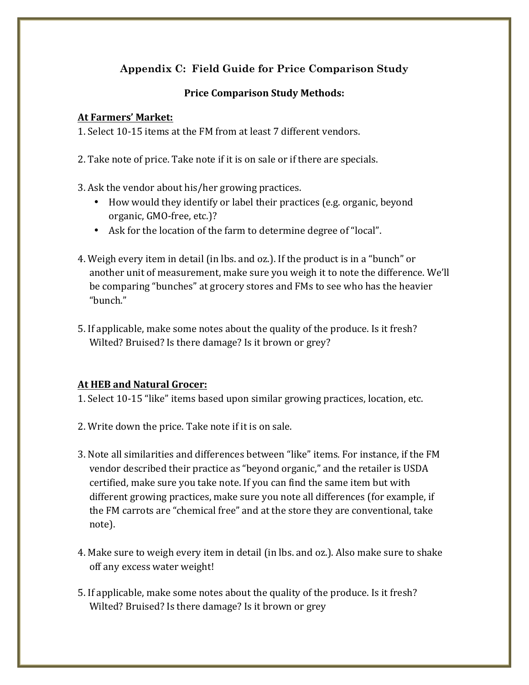# **Appendix C: Field Guide for Price Comparison Study**

# **Price Comparison Study Methods:**

## **At'Farmers''Market:**

1. Select 10-15 items at the FM from at least 7 different vendors.

- 2. Take note of price. Take note if it is on sale or if there are specials.
- 3. Ask the vendor about his/her growing practices.
	- How would they identify or label their practices (e.g. organic, beyond organic, GMO-free, etc.)?
	- Ask for the location of the farm to determine degree of "local".
- 4. Weigh every item in detail (in lbs. and oz.). If the product is in a "bunch" or another unit of measurement, make sure you weigh it to note the difference. We'll be comparing "bunches" at grocery stores and FMs to see who has the heavier "bunch."
- 5. If applicable, make some notes about the quality of the produce. Is it fresh? Wilted? Bruised? Is there damage? Is it brown or grey?

## At HEB and Natural Grocer:

- 1. Select 10-15 "like" items based upon similar growing practices, location, etc.
- 2. Write down the price. Take note if it is on sale.
- 3. Note all similarities and differences between "like" items. For instance, if the FM vendor described their practice as "beyond organic," and the retailer is USDA certified, make sure you take note. If you can find the same item but with different growing practices, make sure you note all differences (for example, if the FM carrots are "chemical free" and at the store they are conventional, take note).
- 4. Make sure to weigh every item in detail (in lbs. and oz.). Also make sure to shake off any excess water weight!
- 5. If applicable, make some notes about the quality of the produce. Is it fresh? Wilted? Bruised? Is there damage? Is it brown or grey